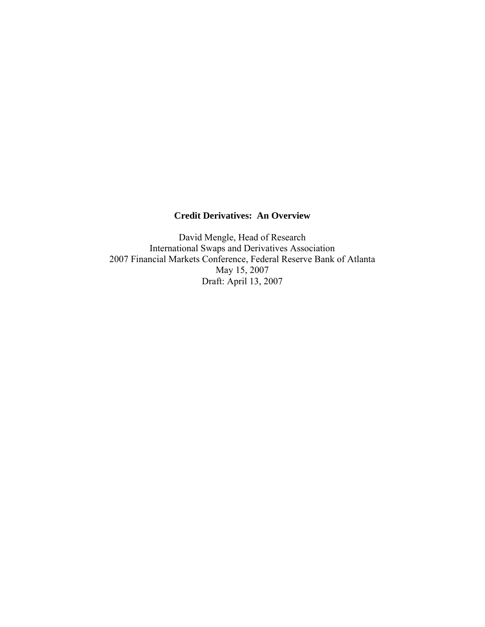## **Credit Derivatives: An Overview**

David Mengle, Head of Research International Swaps and Derivatives Association 2007 Financial Markets Conference, Federal Reserve Bank of Atlanta May 15, 2007 Draft: April 13, 2007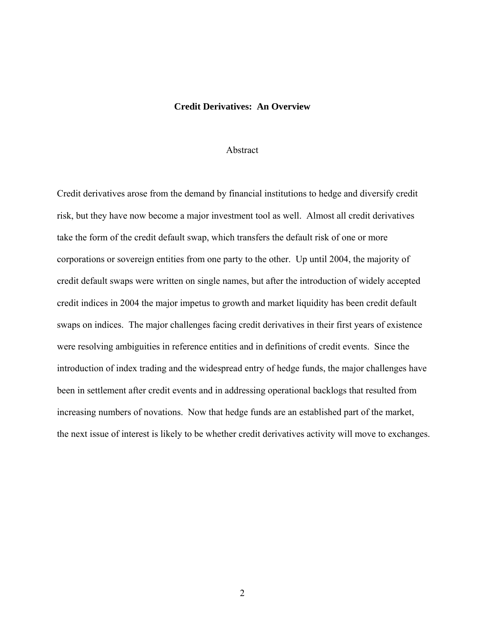## **Credit Derivatives: An Overview**

#### Abstract

Credit derivatives arose from the demand by financial institutions to hedge and diversify credit risk, but they have now become a major investment tool as well. Almost all credit derivatives take the form of the credit default swap, which transfers the default risk of one or more corporations or sovereign entities from one party to the other. Up until 2004, the majority of credit default swaps were written on single names, but after the introduction of widely accepted credit indices in 2004 the major impetus to growth and market liquidity has been credit default swaps on indices. The major challenges facing credit derivatives in their first years of existence were resolving ambiguities in reference entities and in definitions of credit events. Since the introduction of index trading and the widespread entry of hedge funds, the major challenges have been in settlement after credit events and in addressing operational backlogs that resulted from increasing numbers of novations. Now that hedge funds are an established part of the market, the next issue of interest is likely to be whether credit derivatives activity will move to exchanges.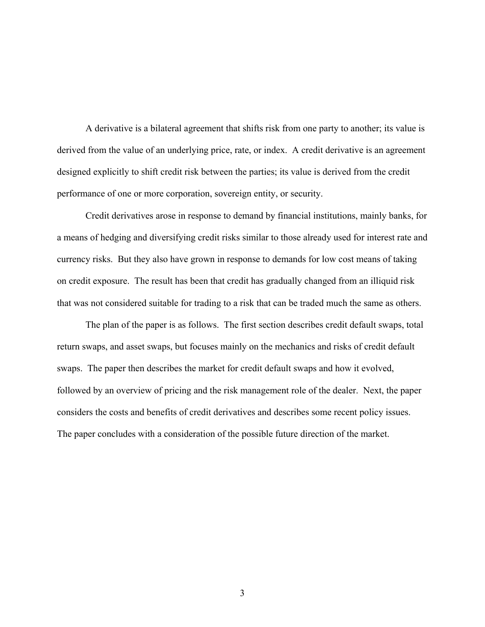A derivative is a bilateral agreement that shifts risk from one party to another; its value is derived from the value of an underlying price, rate, or index. A credit derivative is an agreement designed explicitly to shift credit risk between the parties; its value is derived from the credit performance of one or more corporation, sovereign entity, or security.

Credit derivatives arose in response to demand by financial institutions, mainly banks, for a means of hedging and diversifying credit risks similar to those already used for interest rate and currency risks. But they also have grown in response to demands for low cost means of taking on credit exposure. The result has been that credit has gradually changed from an illiquid risk that was not considered suitable for trading to a risk that can be traded much the same as others.

The plan of the paper is as follows. The first section describes credit default swaps, total return swaps, and asset swaps, but focuses mainly on the mechanics and risks of credit default swaps. The paper then describes the market for credit default swaps and how it evolved, followed by an overview of pricing and the risk management role of the dealer. Next, the paper considers the costs and benefits of credit derivatives and describes some recent policy issues. The paper concludes with a consideration of the possible future direction of the market.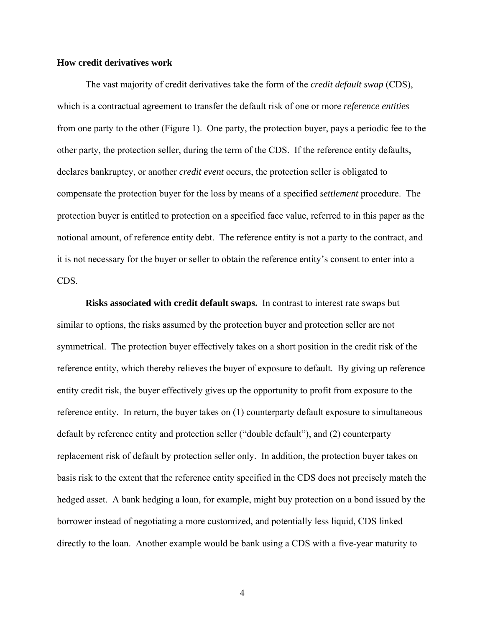### **How credit derivatives work**

The vast majority of credit derivatives take the form of the *credit default swap* (CDS), which is a contractual agreement to transfer the default risk of one or more *reference entities* from one party to the other (Figure 1). One party, the protection buyer, pays a periodic fee to the other party, the protection seller, during the term of the CDS. If the reference entity defaults, declares bankruptcy, or another *credit event* occurs, the protection seller is obligated to compensate the protection buyer for the loss by means of a specified *settlement* procedure. The protection buyer is entitled to protection on a specified face value, referred to in this paper as the notional amount, of reference entity debt. The reference entity is not a party to the contract, and it is not necessary for the buyer or seller to obtain the reference entity's consent to enter into a CDS.

**Risks associated with credit default swaps.** In contrast to interest rate swaps but similar to options, the risks assumed by the protection buyer and protection seller are not symmetrical. The protection buyer effectively takes on a short position in the credit risk of the reference entity, which thereby relieves the buyer of exposure to default. By giving up reference entity credit risk, the buyer effectively gives up the opportunity to profit from exposure to the reference entity. In return, the buyer takes on (1) counterparty default exposure to simultaneous default by reference entity and protection seller ("double default"), and (2) counterparty replacement risk of default by protection seller only. In addition, the protection buyer takes on basis risk to the extent that the reference entity specified in the CDS does not precisely match the hedged asset. A bank hedging a loan, for example, might buy protection on a bond issued by the borrower instead of negotiating a more customized, and potentially less liquid, CDS linked directly to the loan. Another example would be bank using a CDS with a five-year maturity to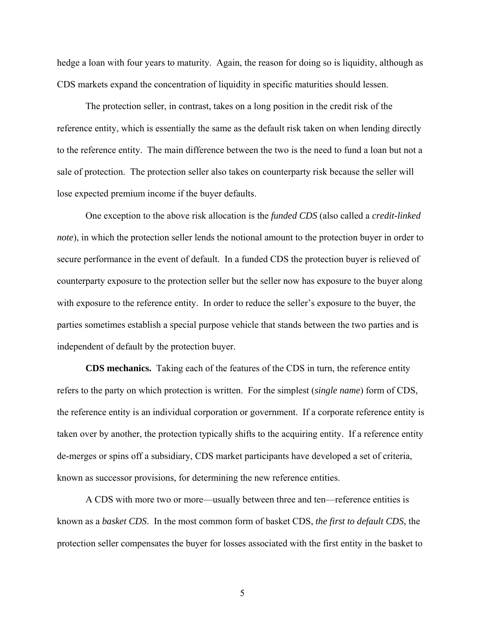hedge a loan with four years to maturity. Again, the reason for doing so is liquidity, although as CDS markets expand the concentration of liquidity in specific maturities should lessen.

The protection seller, in contrast, takes on a long position in the credit risk of the reference entity, which is essentially the same as the default risk taken on when lending directly to the reference entity. The main difference between the two is the need to fund a loan but not a sale of protection. The protection seller also takes on counterparty risk because the seller will lose expected premium income if the buyer defaults.

One exception to the above risk allocation is the *funded CDS* (also called a *credit-linked note*), in which the protection seller lends the notional amount to the protection buyer in order to secure performance in the event of default. In a funded CDS the protection buyer is relieved of counterparty exposure to the protection seller but the seller now has exposure to the buyer along with exposure to the reference entity. In order to reduce the seller's exposure to the buyer, the parties sometimes establish a special purpose vehicle that stands between the two parties and is independent of default by the protection buyer.

**CDS mechanics.** Taking each of the features of the CDS in turn, the reference entity refers to the party on which protection is written. For the simplest (*single name*) form of CDS, the reference entity is an individual corporation or government. If a corporate reference entity is taken over by another, the protection typically shifts to the acquiring entity. If a reference entity de-merges or spins off a subsidiary, CDS market participants have developed a set of criteria, known as successor provisions, for determining the new reference entities.

A CDS with more two or more—usually between three and ten—reference entities is known as a *basket CDS*. In the most common form of basket CDS, *the first to default CDS*, the protection seller compensates the buyer for losses associated with the first entity in the basket to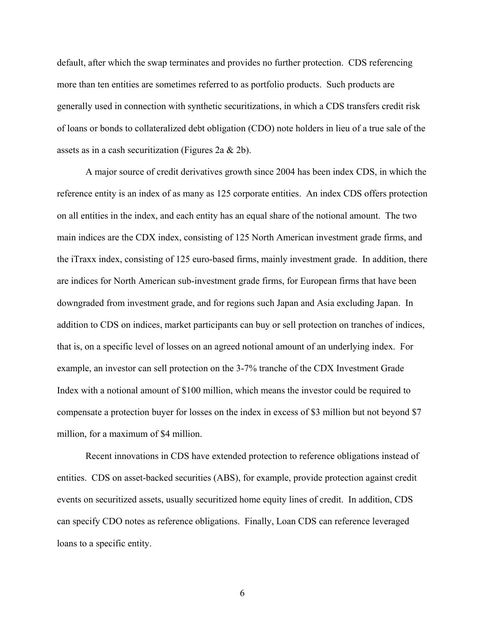default, after which the swap terminates and provides no further protection. CDS referencing more than ten entities are sometimes referred to as portfolio products. Such products are generally used in connection with synthetic securitizations, in which a CDS transfers credit risk of loans or bonds to collateralized debt obligation (CDO) note holders in lieu of a true sale of the assets as in a cash securitization (Figures 2a & 2b).

A major source of credit derivatives growth since 2004 has been index CDS, in which the reference entity is an index of as many as 125 corporate entities. An index CDS offers protection on all entities in the index, and each entity has an equal share of the notional amount. The two main indices are the CDX index, consisting of 125 North American investment grade firms, and the iTraxx index, consisting of 125 euro-based firms, mainly investment grade. In addition, there are indices for North American sub-investment grade firms, for European firms that have been downgraded from investment grade, and for regions such Japan and Asia excluding Japan. In addition to CDS on indices, market participants can buy or sell protection on tranches of indices, that is, on a specific level of losses on an agreed notional amount of an underlying index. For example, an investor can sell protection on the 3-7% tranche of the CDX Investment Grade Index with a notional amount of \$100 million, which means the investor could be required to compensate a protection buyer for losses on the index in excess of \$3 million but not beyond \$7 million, for a maximum of \$4 million.

Recent innovations in CDS have extended protection to reference obligations instead of entities. CDS on asset-backed securities (ABS), for example, provide protection against credit events on securitized assets, usually securitized home equity lines of credit. In addition, CDS can specify CDO notes as reference obligations. Finally, Loan CDS can reference leveraged loans to a specific entity.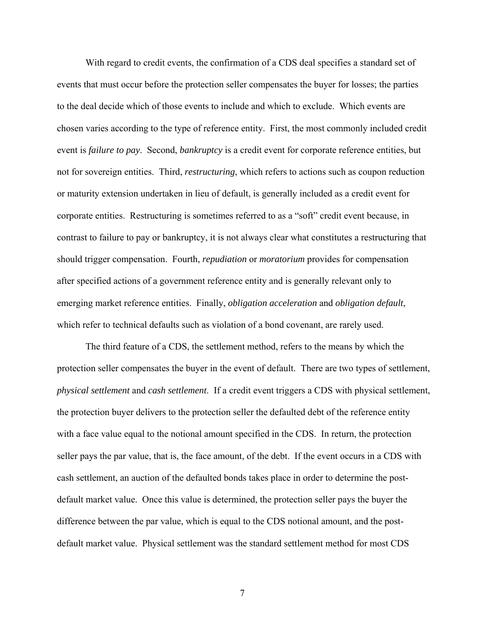With regard to credit events, the confirmation of a CDS deal specifies a standard set of events that must occur before the protection seller compensates the buyer for losses; the parties to the deal decide which of those events to include and which to exclude. Which events are chosen varies according to the type of reference entity. First, the most commonly included credit event is *failure to pay*. Second, *bankruptcy* is a credit event for corporate reference entities, but not for sovereign entities. Third, *restructuring*, which refers to actions such as coupon reduction or maturity extension undertaken in lieu of default, is generally included as a credit event for corporate entities. Restructuring is sometimes referred to as a "soft" credit event because, in contrast to failure to pay or bankruptcy, it is not always clear what constitutes a restructuring that should trigger compensation. Fourth, *repudiation* or *moratorium* provides for compensation after specified actions of a government reference entity and is generally relevant only to emerging market reference entities. Finally, *obligation acceleration* and *obligation default*, which refer to technical defaults such as violation of a bond covenant, are rarely used.

The third feature of a CDS, the settlement method, refers to the means by which the protection seller compensates the buyer in the event of default. There are two types of settlement, *physical settlement* and *cash settlement*. If a credit event triggers a CDS with physical settlement, the protection buyer delivers to the protection seller the defaulted debt of the reference entity with a face value equal to the notional amount specified in the CDS. In return, the protection seller pays the par value, that is, the face amount, of the debt. If the event occurs in a CDS with cash settlement, an auction of the defaulted bonds takes place in order to determine the postdefault market value. Once this value is determined, the protection seller pays the buyer the difference between the par value, which is equal to the CDS notional amount, and the postdefault market value. Physical settlement was the standard settlement method for most CDS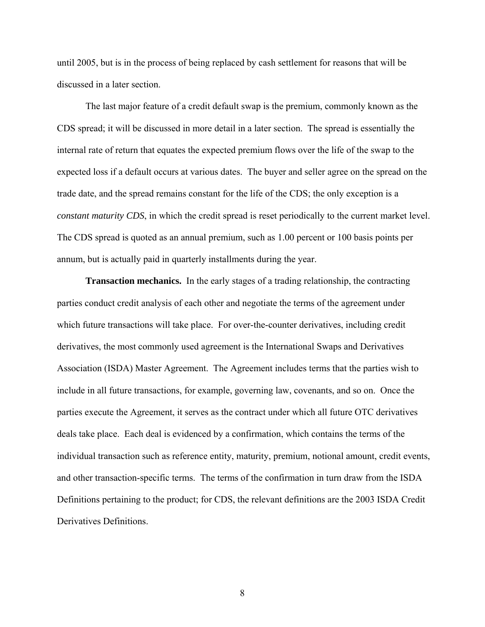until 2005, but is in the process of being replaced by cash settlement for reasons that will be discussed in a later section.

The last major feature of a credit default swap is the premium, commonly known as the CDS spread; it will be discussed in more detail in a later section. The spread is essentially the internal rate of return that equates the expected premium flows over the life of the swap to the expected loss if a default occurs at various dates. The buyer and seller agree on the spread on the trade date, and the spread remains constant for the life of the CDS; the only exception is a *constant maturity CDS*, in which the credit spread is reset periodically to the current market level. The CDS spread is quoted as an annual premium, such as 1.00 percent or 100 basis points per annum, but is actually paid in quarterly installments during the year.

**Transaction mechanics.** In the early stages of a trading relationship, the contracting parties conduct credit analysis of each other and negotiate the terms of the agreement under which future transactions will take place. For over-the-counter derivatives, including credit derivatives, the most commonly used agreement is the International Swaps and Derivatives Association (ISDA) Master Agreement. The Agreement includes terms that the parties wish to include in all future transactions, for example, governing law, covenants, and so on. Once the parties execute the Agreement, it serves as the contract under which all future OTC derivatives deals take place. Each deal is evidenced by a confirmation, which contains the terms of the individual transaction such as reference entity, maturity, premium, notional amount, credit events, and other transaction-specific terms. The terms of the confirmation in turn draw from the ISDA Definitions pertaining to the product; for CDS, the relevant definitions are the 2003 ISDA Credit Derivatives Definitions.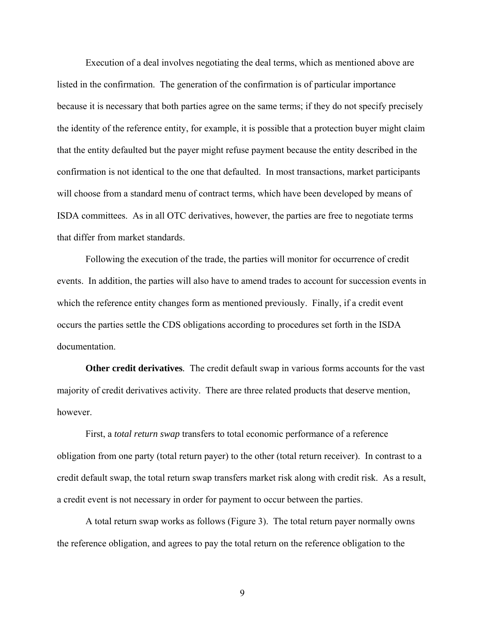Execution of a deal involves negotiating the deal terms, which as mentioned above are listed in the confirmation. The generation of the confirmation is of particular importance because it is necessary that both parties agree on the same terms; if they do not specify precisely the identity of the reference entity, for example, it is possible that a protection buyer might claim that the entity defaulted but the payer might refuse payment because the entity described in the confirmation is not identical to the one that defaulted. In most transactions, market participants will choose from a standard menu of contract terms, which have been developed by means of ISDA committees. As in all OTC derivatives, however, the parties are free to negotiate terms that differ from market standards.

Following the execution of the trade, the parties will monitor for occurrence of credit events. In addition, the parties will also have to amend trades to account for succession events in which the reference entity changes form as mentioned previously. Finally, if a credit event occurs the parties settle the CDS obligations according to procedures set forth in the ISDA documentation.

**Other credit derivatives***.* The credit default swap in various forms accounts for the vast majority of credit derivatives activity. There are three related products that deserve mention, however.

First, a *total return swap* transfers to total economic performance of a reference obligation from one party (total return payer) to the other (total return receiver). In contrast to a credit default swap, the total return swap transfers market risk along with credit risk. As a result, a credit event is not necessary in order for payment to occur between the parties.

A total return swap works as follows (Figure 3). The total return payer normally owns the reference obligation, and agrees to pay the total return on the reference obligation to the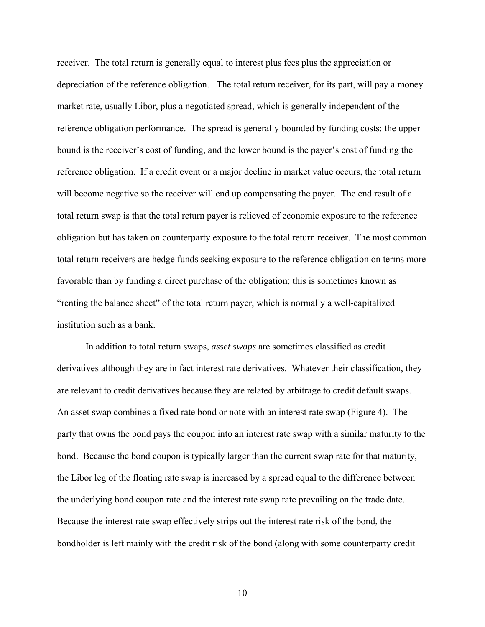receiver. The total return is generally equal to interest plus fees plus the appreciation or depreciation of the reference obligation. The total return receiver, for its part, will pay a money market rate, usually Libor, plus a negotiated spread, which is generally independent of the reference obligation performance. The spread is generally bounded by funding costs: the upper bound is the receiver's cost of funding, and the lower bound is the payer's cost of funding the reference obligation. If a credit event or a major decline in market value occurs, the total return will become negative so the receiver will end up compensating the payer. The end result of a total return swap is that the total return payer is relieved of economic exposure to the reference obligation but has taken on counterparty exposure to the total return receiver. The most common total return receivers are hedge funds seeking exposure to the reference obligation on terms more favorable than by funding a direct purchase of the obligation; this is sometimes known as "renting the balance sheet" of the total return payer, which is normally a well-capitalized institution such as a bank.

In addition to total return swaps, *asset swaps* are sometimes classified as credit derivatives although they are in fact interest rate derivatives. Whatever their classification, they are relevant to credit derivatives because they are related by arbitrage to credit default swaps. An asset swap combines a fixed rate bond or note with an interest rate swap (Figure 4). The party that owns the bond pays the coupon into an interest rate swap with a similar maturity to the bond. Because the bond coupon is typically larger than the current swap rate for that maturity, the Libor leg of the floating rate swap is increased by a spread equal to the difference between the underlying bond coupon rate and the interest rate swap rate prevailing on the trade date. Because the interest rate swap effectively strips out the interest rate risk of the bond, the bondholder is left mainly with the credit risk of the bond (along with some counterparty credit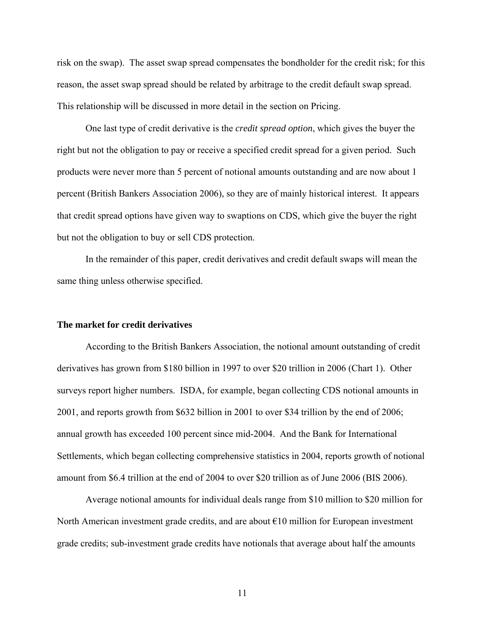risk on the swap). The asset swap spread compensates the bondholder for the credit risk; for this reason, the asset swap spread should be related by arbitrage to the credit default swap spread. This relationship will be discussed in more detail in the section on Pricing.

One last type of credit derivative is the *credit spread option*, which gives the buyer the right but not the obligation to pay or receive a specified credit spread for a given period. Such products were never more than 5 percent of notional amounts outstanding and are now about 1 percent (British Bankers Association 2006), so they are of mainly historical interest. It appears that credit spread options have given way to swaptions on CDS, which give the buyer the right but not the obligation to buy or sell CDS protection.

In the remainder of this paper, credit derivatives and credit default swaps will mean the same thing unless otherwise specified.

### **The market for credit derivatives**

According to the British Bankers Association, the notional amount outstanding of credit derivatives has grown from \$180 billion in 1997 to over \$20 trillion in 2006 (Chart 1). Other surveys report higher numbers. ISDA, for example, began collecting CDS notional amounts in 2001, and reports growth from \$632 billion in 2001 to over \$34 trillion by the end of 2006; annual growth has exceeded 100 percent since mid-2004. And the Bank for International Settlements, which began collecting comprehensive statistics in 2004, reports growth of notional amount from \$6.4 trillion at the end of 2004 to over \$20 trillion as of June 2006 (BIS 2006).

Average notional amounts for individual deals range from \$10 million to \$20 million for North American investment grade credits, and are about  $\epsilon$ 10 million for European investment grade credits; sub-investment grade credits have notionals that average about half the amounts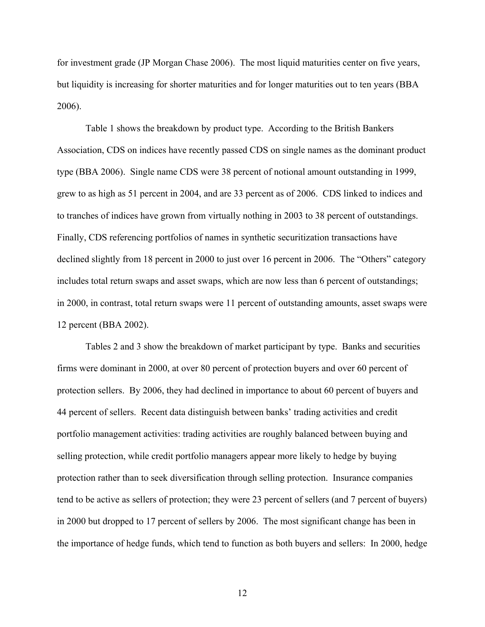for investment grade (JP Morgan Chase 2006). The most liquid maturities center on five years, but liquidity is increasing for shorter maturities and for longer maturities out to ten years (BBA 2006).

Table 1 shows the breakdown by product type. According to the British Bankers Association, CDS on indices have recently passed CDS on single names as the dominant product type (BBA 2006). Single name CDS were 38 percent of notional amount outstanding in 1999, grew to as high as 51 percent in 2004, and are 33 percent as of 2006. CDS linked to indices and to tranches of indices have grown from virtually nothing in 2003 to 38 percent of outstandings. Finally, CDS referencing portfolios of names in synthetic securitization transactions have declined slightly from 18 percent in 2000 to just over 16 percent in 2006. The "Others" category includes total return swaps and asset swaps, which are now less than 6 percent of outstandings; in 2000, in contrast, total return swaps were 11 percent of outstanding amounts, asset swaps were 12 percent (BBA 2002).

Tables 2 and 3 show the breakdown of market participant by type. Banks and securities firms were dominant in 2000, at over 80 percent of protection buyers and over 60 percent of protection sellers. By 2006, they had declined in importance to about 60 percent of buyers and 44 percent of sellers. Recent data distinguish between banks' trading activities and credit portfolio management activities: trading activities are roughly balanced between buying and selling protection, while credit portfolio managers appear more likely to hedge by buying protection rather than to seek diversification through selling protection. Insurance companies tend to be active as sellers of protection; they were 23 percent of sellers (and 7 percent of buyers) in 2000 but dropped to 17 percent of sellers by 2006. The most significant change has been in the importance of hedge funds, which tend to function as both buyers and sellers: In 2000, hedge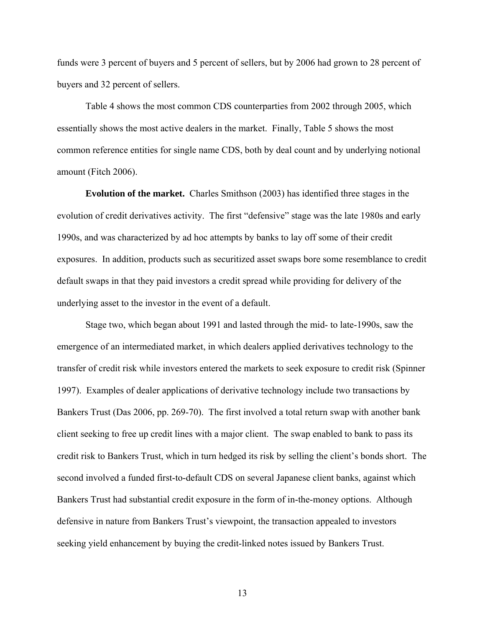funds were 3 percent of buyers and 5 percent of sellers, but by 2006 had grown to 28 percent of buyers and 32 percent of sellers.

Table 4 shows the most common CDS counterparties from 2002 through 2005, which essentially shows the most active dealers in the market. Finally, Table 5 shows the most common reference entities for single name CDS, both by deal count and by underlying notional amount (Fitch 2006).

**Evolution of the market.** Charles Smithson (2003) has identified three stages in the evolution of credit derivatives activity. The first "defensive" stage was the late 1980s and early 1990s, and was characterized by ad hoc attempts by banks to lay off some of their credit exposures. In addition, products such as securitized asset swaps bore some resemblance to credit default swaps in that they paid investors a credit spread while providing for delivery of the underlying asset to the investor in the event of a default.

Stage two, which began about 1991 and lasted through the mid- to late-1990s, saw the emergence of an intermediated market, in which dealers applied derivatives technology to the transfer of credit risk while investors entered the markets to seek exposure to credit risk (Spinner 1997). Examples of dealer applications of derivative technology include two transactions by Bankers Trust (Das 2006, pp. 269-70). The first involved a total return swap with another bank client seeking to free up credit lines with a major client. The swap enabled to bank to pass its credit risk to Bankers Trust, which in turn hedged its risk by selling the client's bonds short. The second involved a funded first-to-default CDS on several Japanese client banks, against which Bankers Trust had substantial credit exposure in the form of in-the-money options. Although defensive in nature from Bankers Trust's viewpoint, the transaction appealed to investors seeking yield enhancement by buying the credit-linked notes issued by Bankers Trust.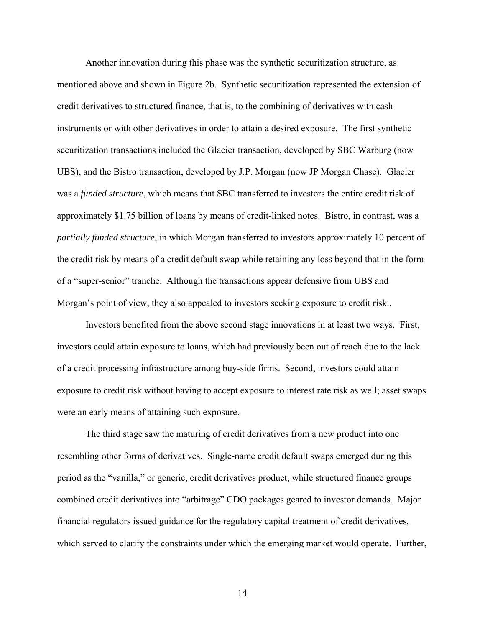Another innovation during this phase was the synthetic securitization structure, as mentioned above and shown in Figure 2b. Synthetic securitization represented the extension of credit derivatives to structured finance, that is, to the combining of derivatives with cash instruments or with other derivatives in order to attain a desired exposure. The first synthetic securitization transactions included the Glacier transaction, developed by SBC Warburg (now UBS), and the Bistro transaction, developed by J.P. Morgan (now JP Morgan Chase). Glacier was a *funded structure*, which means that SBC transferred to investors the entire credit risk of approximately \$1.75 billion of loans by means of credit-linked notes. Bistro, in contrast, was a *partially funded structure*, in which Morgan transferred to investors approximately 10 percent of the credit risk by means of a credit default swap while retaining any loss beyond that in the form of a "super-senior" tranche. Although the transactions appear defensive from UBS and Morgan's point of view, they also appealed to investors seeking exposure to credit risk..

Investors benefited from the above second stage innovations in at least two ways. First, investors could attain exposure to loans, which had previously been out of reach due to the lack of a credit processing infrastructure among buy-side firms. Second, investors could attain exposure to credit risk without having to accept exposure to interest rate risk as well; asset swaps were an early means of attaining such exposure.

The third stage saw the maturing of credit derivatives from a new product into one resembling other forms of derivatives. Single-name credit default swaps emerged during this period as the "vanilla," or generic, credit derivatives product, while structured finance groups combined credit derivatives into "arbitrage" CDO packages geared to investor demands. Major financial regulators issued guidance for the regulatory capital treatment of credit derivatives, which served to clarify the constraints under which the emerging market would operate. Further,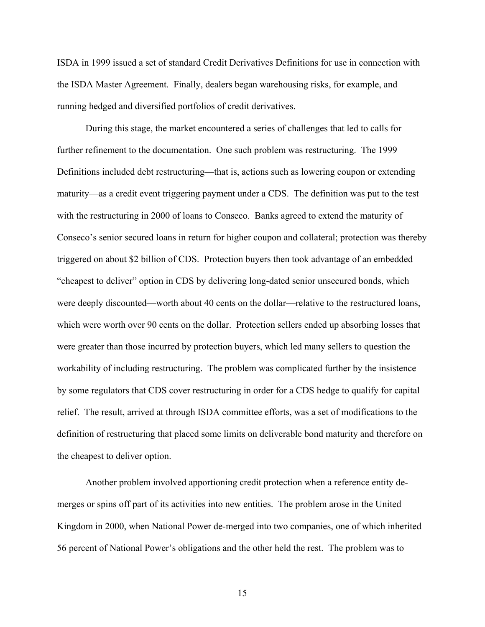ISDA in 1999 issued a set of standard Credit Derivatives Definitions for use in connection with the ISDA Master Agreement. Finally, dealers began warehousing risks, for example, and running hedged and diversified portfolios of credit derivatives.

During this stage, the market encountered a series of challenges that led to calls for further refinement to the documentation. One such problem was restructuring. The 1999 Definitions included debt restructuring—that is, actions such as lowering coupon or extending maturity—as a credit event triggering payment under a CDS. The definition was put to the test with the restructuring in 2000 of loans to Conseco. Banks agreed to extend the maturity of Conseco's senior secured loans in return for higher coupon and collateral; protection was thereby triggered on about \$2 billion of CDS. Protection buyers then took advantage of an embedded "cheapest to deliver" option in CDS by delivering long-dated senior unsecured bonds, which were deeply discounted—worth about 40 cents on the dollar—relative to the restructured loans, which were worth over 90 cents on the dollar. Protection sellers ended up absorbing losses that were greater than those incurred by protection buyers, which led many sellers to question the workability of including restructuring. The problem was complicated further by the insistence by some regulators that CDS cover restructuring in order for a CDS hedge to qualify for capital relief. The result, arrived at through ISDA committee efforts, was a set of modifications to the definition of restructuring that placed some limits on deliverable bond maturity and therefore on the cheapest to deliver option.

 Another problem involved apportioning credit protection when a reference entity demerges or spins off part of its activities into new entities. The problem arose in the United Kingdom in 2000, when National Power de-merged into two companies, one of which inherited 56 percent of National Power's obligations and the other held the rest. The problem was to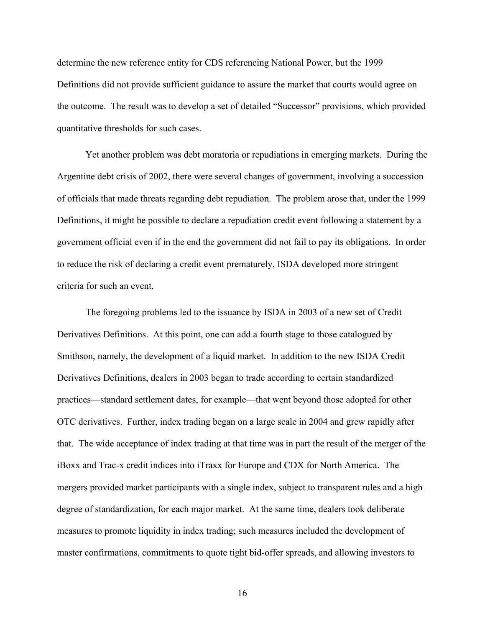determine the new reference entity for CDS referencing National Power, but the 1999 Definitions did not provide sufficient guidance to assure the market that courts would agree on the outcome. The result was to develop a set of detailed "Successor" provisions, which provided quantitative thresholds for such cases.

 Yet another problem was debt moratoria or repudiations in emerging markets. During the Argentine debt crisis of 2002, there were several changes of government, involving a succession of officials that made threats regarding debt repudiation. The problem arose that, under the 1999 Definitions, it might be possible to declare a repudiation credit event following a statement by a government official even if in the end the government did not fail to pay its obligations. In order to reduce the risk of declaring a credit event prematurely, ISDA developed more stringent criteria for such an event.

The foregoing problems led to the issuance by ISDA in 2003 of a new set of Credit Derivatives Definitions. At this point, one can add a fourth stage to those catalogued by Smithson, namely, the development of a liquid market. In addition to the new ISDA Credit Derivatives Definitions, dealers in 2003 began to trade according to certain standardized practices—standard settlement dates, for example—that went beyond those adopted for other OTC derivatives. Further, index trading began on a large scale in 2004 and grew rapidly after that. The wide acceptance of index trading at that time was in part the result of the merger of the iBoxx and Trac-x credit indices into iTraxx for Europe and CDX for North America. The mergers provided market participants with a single index, subject to transparent rules and a high degree of standardization, for each major market. At the same time, dealers took deliberate measures to promote liquidity in index trading; such measures included the development of master confirmations, commitments to quote tight bid-offer spreads, and allowing investors to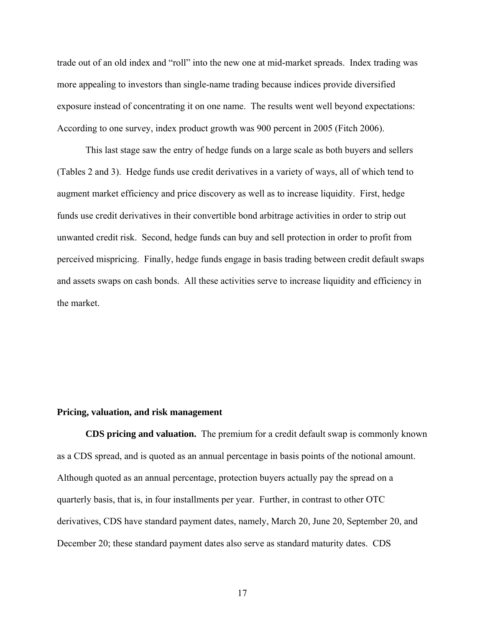trade out of an old index and "roll" into the new one at mid-market spreads. Index trading was more appealing to investors than single-name trading because indices provide diversified exposure instead of concentrating it on one name. The results went well beyond expectations: According to one survey, index product growth was 900 percent in 2005 (Fitch 2006).

This last stage saw the entry of hedge funds on a large scale as both buyers and sellers (Tables 2 and 3). Hedge funds use credit derivatives in a variety of ways, all of which tend to augment market efficiency and price discovery as well as to increase liquidity. First, hedge funds use credit derivatives in their convertible bond arbitrage activities in order to strip out unwanted credit risk. Second, hedge funds can buy and sell protection in order to profit from perceived mispricing. Finally, hedge funds engage in basis trading between credit default swaps and assets swaps on cash bonds. All these activities serve to increase liquidity and efficiency in the market.

#### **Pricing, valuation, and risk management**

**CDS pricing and valuation.** The premium for a credit default swap is commonly known as a CDS spread, and is quoted as an annual percentage in basis points of the notional amount. Although quoted as an annual percentage, protection buyers actually pay the spread on a quarterly basis, that is, in four installments per year. Further, in contrast to other OTC derivatives, CDS have standard payment dates, namely, March 20, June 20, September 20, and December 20; these standard payment dates also serve as standard maturity dates. CDS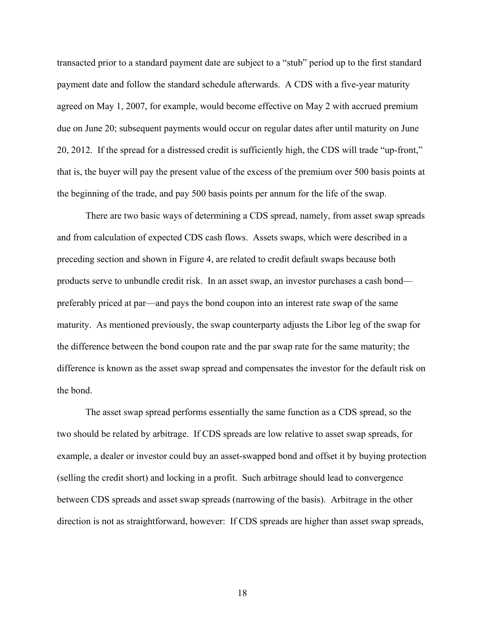transacted prior to a standard payment date are subject to a "stub" period up to the first standard payment date and follow the standard schedule afterwards. A CDS with a five-year maturity agreed on May 1, 2007, for example, would become effective on May 2 with accrued premium due on June 20; subsequent payments would occur on regular dates after until maturity on June 20, 2012. If the spread for a distressed credit is sufficiently high, the CDS will trade "up-front," that is, the buyer will pay the present value of the excess of the premium over 500 basis points at the beginning of the trade, and pay 500 basis points per annum for the life of the swap.

There are two basic ways of determining a CDS spread, namely, from asset swap spreads and from calculation of expected CDS cash flows. Assets swaps, which were described in a preceding section and shown in Figure 4, are related to credit default swaps because both products serve to unbundle credit risk. In an asset swap, an investor purchases a cash bond preferably priced at par—and pays the bond coupon into an interest rate swap of the same maturity. As mentioned previously, the swap counterparty adjusts the Libor leg of the swap for the difference between the bond coupon rate and the par swap rate for the same maturity; the difference is known as the asset swap spread and compensates the investor for the default risk on the bond.

The asset swap spread performs essentially the same function as a CDS spread, so the two should be related by arbitrage. If CDS spreads are low relative to asset swap spreads, for example, a dealer or investor could buy an asset-swapped bond and offset it by buying protection (selling the credit short) and locking in a profit. Such arbitrage should lead to convergence between CDS spreads and asset swap spreads (narrowing of the basis). Arbitrage in the other direction is not as straightforward, however: If CDS spreads are higher than asset swap spreads,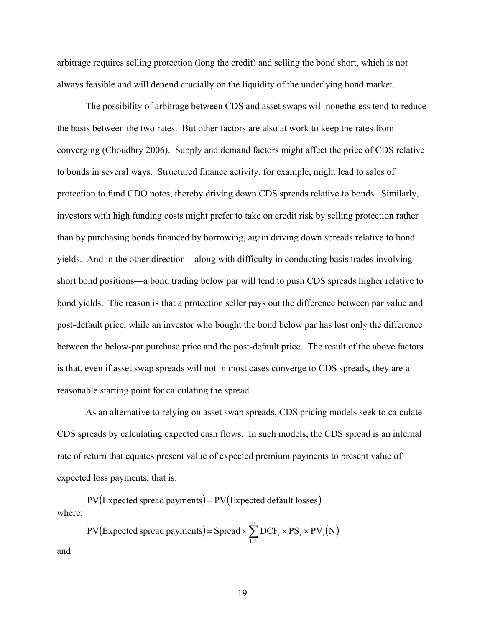arbitrage requires selling protection (long the credit) and selling the bond short, which is not always feasible and will depend crucially on the liquidity of the underlying bond market.

The possibility of arbitrage between CDS and asset swaps will nonetheless tend to reduce the basis between the two rates. But other factors are also at work to keep the rates from converging (Choudhry 2006). Supply and demand factors might affect the price of CDS relative to bonds in several ways. Structured finance activity, for example, might lead to sales of protection to fund CDO notes, thereby driving down CDS spreads relative to bonds. Similarly, investors with high funding costs might prefer to take on credit risk by selling protection rather than by purchasing bonds financed by borrowing, again driving down spreads relative to bond yields. And in the other direction—along with difficulty in conducting basis trades involving short bond positions—a bond trading below par will tend to push CDS spreads higher relative to bond yields. The reason is that a protection seller pays out the difference between par value and post-default price, while an investor who bought the bond below par has lost only the difference between the below-par purchase price and the post-default price. The result of the above factors is that, even if asset swap spreads will not in most cases converge to CDS spreads, they are a reasonable starting point for calculating the spread.

As an alternative to relying on asset swap spreads, CDS pricing models seek to calculate CDS spreads by calculating expected cash flows. In such models, the CDS spread is an internal rate of return that equates present value of expected premium payments to present value of expected loss payments, that is:

 $PV(Expected spread payments) = PV(Expected default losses)$ where:

 $PV(Expected spread payments) = Spread \times \sum DCF_i \times PS_i \times PV_i(N)$ n  $=$  Spread  $\times \sum_{i=1}$  DCF<sub>i</sub>  $\times$  PS<sub>i</sub>  $\times$ and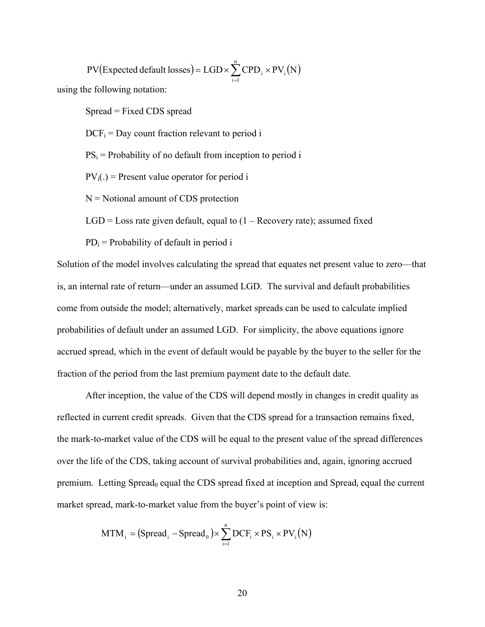PV(Expected default losses) = LGD × 
$$
\sum_{i=1}^{n} CPD_i \times PV_i(N)
$$

using the following notation:

Spread = Fixed CDS spread

 $DCF_i = Day$  count fraction relevant to period i

 $PS_i$  = Probability of no default from inception to period i

 $PV<sub>i</sub>(.)$  = Present value operator for period i

 $N = Notional$  amount of CDS protection

 $LGD = Loss$  rate given default, equal to  $(1 - Recovery)$  rate); assumed fixed

 $PD_i = Probability$  of default in period i

Solution of the model involves calculating the spread that equates net present value to zero—that is, an internal rate of return—under an assumed LGD. The survival and default probabilities come from outside the model; alternatively, market spreads can be used to calculate implied probabilities of default under an assumed LGD. For simplicity, the above equations ignore accrued spread, which in the event of default would be payable by the buyer to the seller for the fraction of the period from the last premium payment date to the default date.

After inception, the value of the CDS will depend mostly in changes in credit quality as reflected in current credit spreads. Given that the CDS spread for a transaction remains fixed, the mark-to-market value of the CDS will be equal to the present value of the spread differences over the life of the CDS, taking account of survival probabilities and, again, ignoring accrued premium. Letting Spread<sub>0</sub> equal the CDS spread fixed at inception and Spread<sub>i</sub> equal the current market spread, mark-to-market value from the buyer's point of view is:

$$
MTM_{i} = (Spread_{i} - Spread_{0}) \times \sum_{i=1}^{n} DCF_{i} \times PS_{i} \times PV_{i}(N)
$$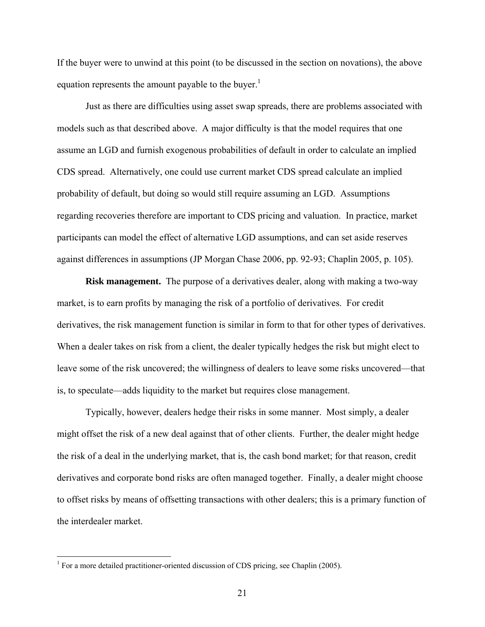If the buyer were to unwind at this point (to be discussed in the section on novations), the above equation represents the amount payable to the buyer.<sup>1</sup>

 Just as there are difficulties using asset swap spreads, there are problems associated with models such as that described above. A major difficulty is that the model requires that one assume an LGD and furnish exogenous probabilities of default in order to calculate an implied CDS spread. Alternatively, one could use current market CDS spread calculate an implied probability of default, but doing so would still require assuming an LGD. Assumptions regarding recoveries therefore are important to CDS pricing and valuation. In practice, market participants can model the effect of alternative LGD assumptions, and can set aside reserves against differences in assumptions (JP Morgan Chase 2006, pp. 92-93; Chaplin 2005, p. 105).

**Risk management.** The purpose of a derivatives dealer, along with making a two-way market, is to earn profits by managing the risk of a portfolio of derivatives. For credit derivatives, the risk management function is similar in form to that for other types of derivatives. When a dealer takes on risk from a client, the dealer typically hedges the risk but might elect to leave some of the risk uncovered; the willingness of dealers to leave some risks uncovered—that is, to speculate—adds liquidity to the market but requires close management.

Typically, however, dealers hedge their risks in some manner. Most simply, a dealer might offset the risk of a new deal against that of other clients. Further, the dealer might hedge the risk of a deal in the underlying market, that is, the cash bond market; for that reason, credit derivatives and corporate bond risks are often managed together. Finally, a dealer might choose to offset risks by means of offsetting transactions with other dealers; this is a primary function of the interdealer market.

 $\overline{a}$ 

<sup>&</sup>lt;sup>1</sup> For a more detailed practitioner-oriented discussion of CDS pricing, see Chaplin (2005).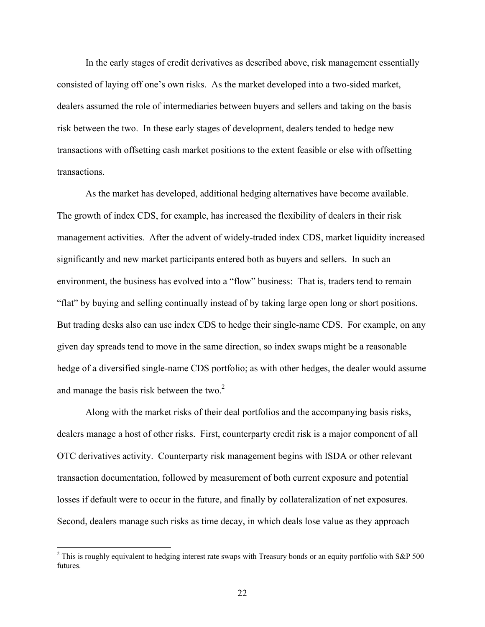In the early stages of credit derivatives as described above, risk management essentially consisted of laying off one's own risks. As the market developed into a two-sided market, dealers assumed the role of intermediaries between buyers and sellers and taking on the basis risk between the two. In these early stages of development, dealers tended to hedge new transactions with offsetting cash market positions to the extent feasible or else with offsetting transactions.

As the market has developed, additional hedging alternatives have become available. The growth of index CDS, for example, has increased the flexibility of dealers in their risk management activities. After the advent of widely-traded index CDS, market liquidity increased significantly and new market participants entered both as buyers and sellers. In such an environment, the business has evolved into a "flow" business: That is, traders tend to remain "flat" by buying and selling continually instead of by taking large open long or short positions. But trading desks also can use index CDS to hedge their single-name CDS. For example, on any given day spreads tend to move in the same direction, so index swaps might be a reasonable hedge of a diversified single-name CDS portfolio; as with other hedges, the dealer would assume and manage the basis risk between the two. $2^2$ 

Along with the market risks of their deal portfolios and the accompanying basis risks, dealers manage a host of other risks. First, counterparty credit risk is a major component of all OTC derivatives activity. Counterparty risk management begins with ISDA or other relevant transaction documentation, followed by measurement of both current exposure and potential losses if default were to occur in the future, and finally by collateralization of net exposures. Second, dealers manage such risks as time decay, in which deals lose value as they approach

<sup>&</sup>lt;sup>2</sup> This is roughly equivalent to hedging interest rate swaps with Treasury bonds or an equity portfolio with S&P 500 futures.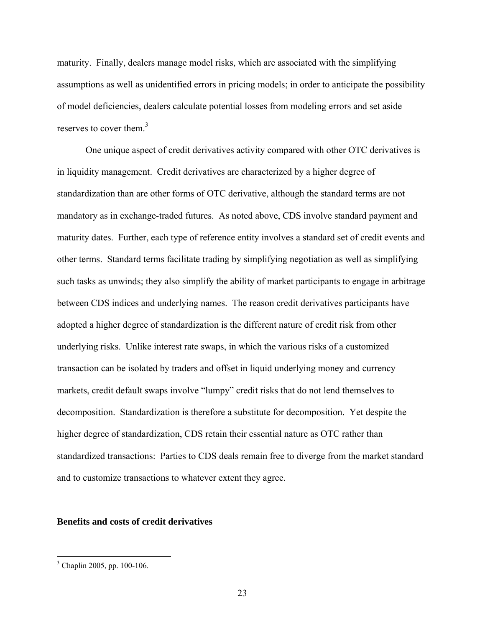maturity. Finally, dealers manage model risks, which are associated with the simplifying assumptions as well as unidentified errors in pricing models; in order to anticipate the possibility of model deficiencies, dealers calculate potential losses from modeling errors and set aside reserves to cover them.3

One unique aspect of credit derivatives activity compared with other OTC derivatives is in liquidity management. Credit derivatives are characterized by a higher degree of standardization than are other forms of OTC derivative, although the standard terms are not mandatory as in exchange-traded futures. As noted above, CDS involve standard payment and maturity dates. Further, each type of reference entity involves a standard set of credit events and other terms. Standard terms facilitate trading by simplifying negotiation as well as simplifying such tasks as unwinds; they also simplify the ability of market participants to engage in arbitrage between CDS indices and underlying names. The reason credit derivatives participants have adopted a higher degree of standardization is the different nature of credit risk from other underlying risks. Unlike interest rate swaps, in which the various risks of a customized transaction can be isolated by traders and offset in liquid underlying money and currency markets, credit default swaps involve "lumpy" credit risks that do not lend themselves to decomposition. Standardization is therefore a substitute for decomposition. Yet despite the higher degree of standardization, CDS retain their essential nature as OTC rather than standardized transactions: Parties to CDS deals remain free to diverge from the market standard and to customize transactions to whatever extent they agree.

### **Benefits and costs of credit derivatives**

 $\overline{a}$ 

<sup>3</sup> Chaplin 2005, pp. 100-106.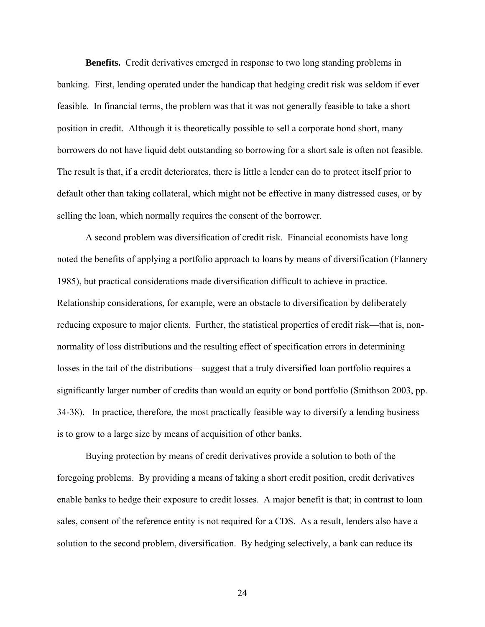**Benefits.**Credit derivatives emerged in response to two long standing problems in banking. First, lending operated under the handicap that hedging credit risk was seldom if ever feasible. In financial terms, the problem was that it was not generally feasible to take a short position in credit. Although it is theoretically possible to sell a corporate bond short, many borrowers do not have liquid debt outstanding so borrowing for a short sale is often not feasible. The result is that, if a credit deteriorates, there is little a lender can do to protect itself prior to default other than taking collateral, which might not be effective in many distressed cases, or by selling the loan, which normally requires the consent of the borrower.

A second problem was diversification of credit risk. Financial economists have long noted the benefits of applying a portfolio approach to loans by means of diversification (Flannery 1985), but practical considerations made diversification difficult to achieve in practice. Relationship considerations, for example, were an obstacle to diversification by deliberately reducing exposure to major clients. Further, the statistical properties of credit risk—that is, nonnormality of loss distributions and the resulting effect of specification errors in determining losses in the tail of the distributions—suggest that a truly diversified loan portfolio requires a significantly larger number of credits than would an equity or bond portfolio (Smithson 2003, pp. 34-38). In practice, therefore, the most practically feasible way to diversify a lending business is to grow to a large size by means of acquisition of other banks.

Buying protection by means of credit derivatives provide a solution to both of the foregoing problems. By providing a means of taking a short credit position, credit derivatives enable banks to hedge their exposure to credit losses. A major benefit is that; in contrast to loan sales, consent of the reference entity is not required for a CDS. As a result, lenders also have a solution to the second problem, diversification. By hedging selectively, a bank can reduce its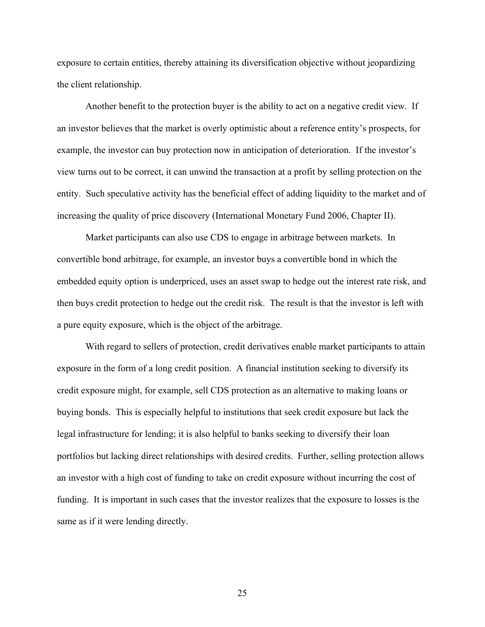exposure to certain entities, thereby attaining its diversification objective without jeopardizing the client relationship.

Another benefit to the protection buyer is the ability to act on a negative credit view. If an investor believes that the market is overly optimistic about a reference entity's prospects, for example, the investor can buy protection now in anticipation of deterioration. If the investor's view turns out to be correct, it can unwind the transaction at a profit by selling protection on the entity. Such speculative activity has the beneficial effect of adding liquidity to the market and of increasing the quality of price discovery (International Monetary Fund 2006, Chapter II).

Market participants can also use CDS to engage in arbitrage between markets. In convertible bond arbitrage, for example, an investor buys a convertible bond in which the embedded equity option is underpriced, uses an asset swap to hedge out the interest rate risk, and then buys credit protection to hedge out the credit risk. The result is that the investor is left with a pure equity exposure, which is the object of the arbitrage.

With regard to sellers of protection, credit derivatives enable market participants to attain exposure in the form of a long credit position. A financial institution seeking to diversify its credit exposure might, for example, sell CDS protection as an alternative to making loans or buying bonds. This is especially helpful to institutions that seek credit exposure but lack the legal infrastructure for lending; it is also helpful to banks seeking to diversify their loan portfolios but lacking direct relationships with desired credits. Further, selling protection allows an investor with a high cost of funding to take on credit exposure without incurring the cost of funding. It is important in such cases that the investor realizes that the exposure to losses is the same as if it were lending directly.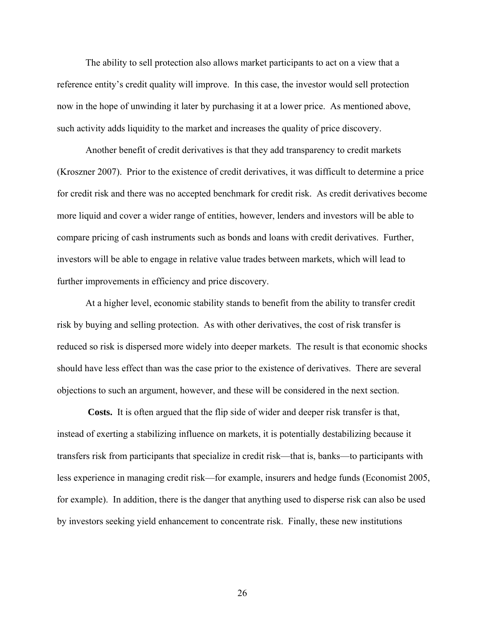The ability to sell protection also allows market participants to act on a view that a reference entity's credit quality will improve. In this case, the investor would sell protection now in the hope of unwinding it later by purchasing it at a lower price. As mentioned above, such activity adds liquidity to the market and increases the quality of price discovery.

Another benefit of credit derivatives is that they add transparency to credit markets (Kroszner 2007). Prior to the existence of credit derivatives, it was difficult to determine a price for credit risk and there was no accepted benchmark for credit risk. As credit derivatives become more liquid and cover a wider range of entities, however, lenders and investors will be able to compare pricing of cash instruments such as bonds and loans with credit derivatives. Further, investors will be able to engage in relative value trades between markets, which will lead to further improvements in efficiency and price discovery.

At a higher level, economic stability stands to benefit from the ability to transfer credit risk by buying and selling protection. As with other derivatives, the cost of risk transfer is reduced so risk is dispersed more widely into deeper markets. The result is that economic shocks should have less effect than was the case prior to the existence of derivatives. There are several objections to such an argument, however, and these will be considered in the next section.

**Costs.** It is often argued that the flip side of wider and deeper risk transfer is that, instead of exerting a stabilizing influence on markets, it is potentially destabilizing because it transfers risk from participants that specialize in credit risk—that is, banks—to participants with less experience in managing credit risk—for example, insurers and hedge funds (Economist 2005, for example). In addition, there is the danger that anything used to disperse risk can also be used by investors seeking yield enhancement to concentrate risk. Finally, these new institutions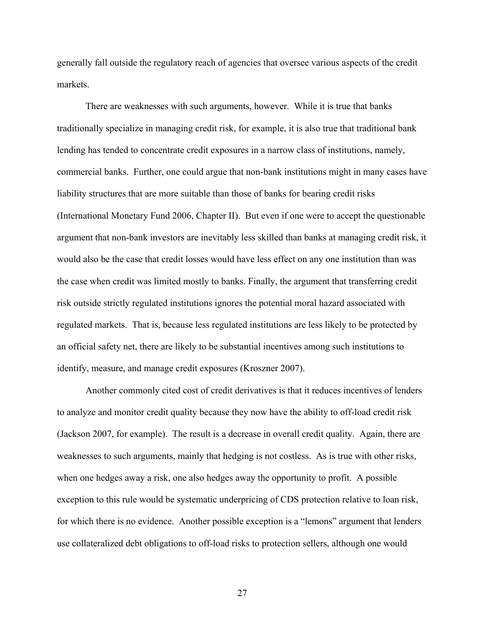generally fall outside the regulatory reach of agencies that oversee various aspects of the credit markets.

There are weaknesses with such arguments, however. While it is true that banks traditionally specialize in managing credit risk, for example, it is also true that traditional bank lending has tended to concentrate credit exposures in a narrow class of institutions, namely, commercial banks. Further, one could argue that non-bank institutions might in many cases have liability structures that are more suitable than those of banks for bearing credit risks (International Monetary Fund 2006, Chapter II). But even if one were to accept the questionable argument that non-bank investors are inevitably less skilled than banks at managing credit risk, it would also be the case that credit losses would have less effect on any one institution than was the case when credit was limited mostly to banks. Finally, the argument that transferring credit risk outside strictly regulated institutions ignores the potential moral hazard associated with regulated markets. That is, because less regulated institutions are less likely to be protected by an official safety net, there are likely to be substantial incentives among such institutions to identify, measure, and manage credit exposures (Kroszner 2007).

Another commonly cited cost of credit derivatives is that it reduces incentives of lenders to analyze and monitor credit quality because they now have the ability to off-load credit risk (Jackson 2007, for example). The result is a decrease in overall credit quality. Again, there are weaknesses to such arguments, mainly that hedging is not costless. As is true with other risks, when one hedges away a risk, one also hedges away the opportunity to profit. A possible exception to this rule would be systematic underpricing of CDS protection relative to loan risk, for which there is no evidence. Another possible exception is a "lemons" argument that lenders use collateralized debt obligations to off-load risks to protection sellers, although one would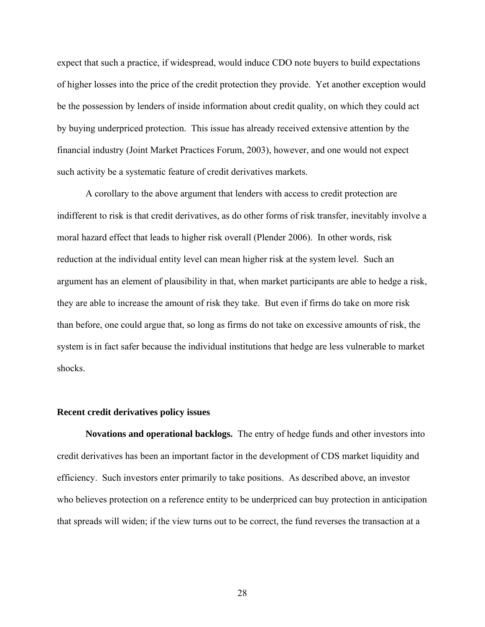expect that such a practice, if widespread, would induce CDO note buyers to build expectations of higher losses into the price of the credit protection they provide. Yet another exception would be the possession by lenders of inside information about credit quality, on which they could act by buying underpriced protection. This issue has already received extensive attention by the financial industry (Joint Market Practices Forum, 2003), however, and one would not expect such activity be a systematic feature of credit derivatives markets.

A corollary to the above argument that lenders with access to credit protection are indifferent to risk is that credit derivatives, as do other forms of risk transfer, inevitably involve a moral hazard effect that leads to higher risk overall (Plender 2006). In other words, risk reduction at the individual entity level can mean higher risk at the system level. Such an argument has an element of plausibility in that, when market participants are able to hedge a risk, they are able to increase the amount of risk they take. But even if firms do take on more risk than before, one could argue that, so long as firms do not take on excessive amounts of risk, the system is in fact safer because the individual institutions that hedge are less vulnerable to market shocks.

### **Recent credit derivatives policy issues**

**Novations and operational backlogs.** The entry of hedge funds and other investors into credit derivatives has been an important factor in the development of CDS market liquidity and efficiency. Such investors enter primarily to take positions. As described above, an investor who believes protection on a reference entity to be underpriced can buy protection in anticipation that spreads will widen; if the view turns out to be correct, the fund reverses the transaction at a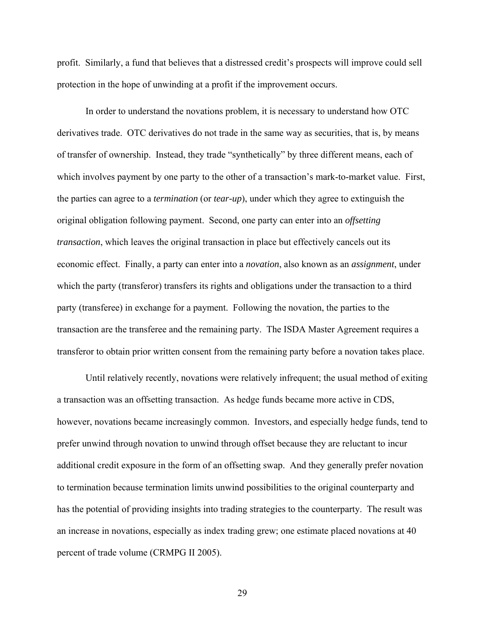profit. Similarly, a fund that believes that a distressed credit's prospects will improve could sell protection in the hope of unwinding at a profit if the improvement occurs.

In order to understand the novations problem, it is necessary to understand how OTC derivatives trade. OTC derivatives do not trade in the same way as securities, that is, by means of transfer of ownership. Instead, they trade "synthetically" by three different means, each of which involves payment by one party to the other of a transaction's mark-to-market value. First, the parties can agree to a *termination* (or *tear-up*), under which they agree to extinguish the original obligation following payment. Second, one party can enter into an *offsetting transaction*, which leaves the original transaction in place but effectively cancels out its economic effect. Finally, a party can enter into a *novation*, also known as an *assignment*, under which the party (transferor) transfers its rights and obligations under the transaction to a third party (transferee) in exchange for a payment. Following the novation, the parties to the transaction are the transferee and the remaining party. The ISDA Master Agreement requires a transferor to obtain prior written consent from the remaining party before a novation takes place.

 Until relatively recently, novations were relatively infrequent; the usual method of exiting a transaction was an offsetting transaction. As hedge funds became more active in CDS, however, novations became increasingly common. Investors, and especially hedge funds, tend to prefer unwind through novation to unwind through offset because they are reluctant to incur additional credit exposure in the form of an offsetting swap. And they generally prefer novation to termination because termination limits unwind possibilities to the original counterparty and has the potential of providing insights into trading strategies to the counterparty. The result was an increase in novations, especially as index trading grew; one estimate placed novations at 40 percent of trade volume (CRMPG II 2005).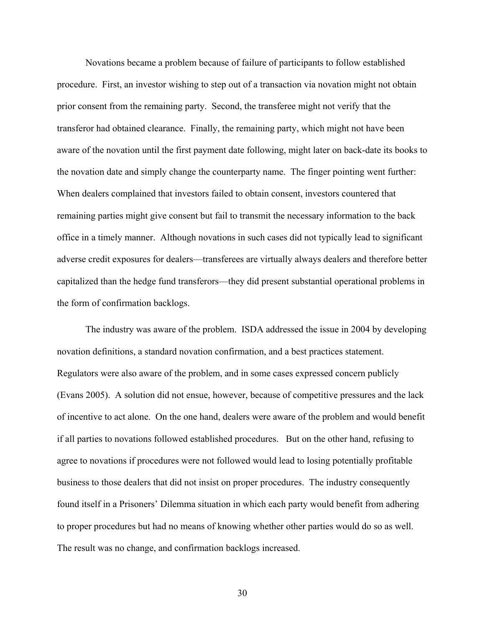Novations became a problem because of failure of participants to follow established procedure. First, an investor wishing to step out of a transaction via novation might not obtain prior consent from the remaining party. Second, the transferee might not verify that the transferor had obtained clearance. Finally, the remaining party, which might not have been aware of the novation until the first payment date following, might later on back-date its books to the novation date and simply change the counterparty name. The finger pointing went further: When dealers complained that investors failed to obtain consent, investors countered that remaining parties might give consent but fail to transmit the necessary information to the back office in a timely manner. Although novations in such cases did not typically lead to significant adverse credit exposures for dealers—transferees are virtually always dealers and therefore better capitalized than the hedge fund transferors—they did present substantial operational problems in the form of confirmation backlogs.

 The industry was aware of the problem. ISDA addressed the issue in 2004 by developing novation definitions, a standard novation confirmation, and a best practices statement. Regulators were also aware of the problem, and in some cases expressed concern publicly (Evans 2005). A solution did not ensue, however, because of competitive pressures and the lack of incentive to act alone. On the one hand, dealers were aware of the problem and would benefit if all parties to novations followed established procedures. But on the other hand, refusing to agree to novations if procedures were not followed would lead to losing potentially profitable business to those dealers that did not insist on proper procedures. The industry consequently found itself in a Prisoners' Dilemma situation in which each party would benefit from adhering to proper procedures but had no means of knowing whether other parties would do so as well. The result was no change, and confirmation backlogs increased.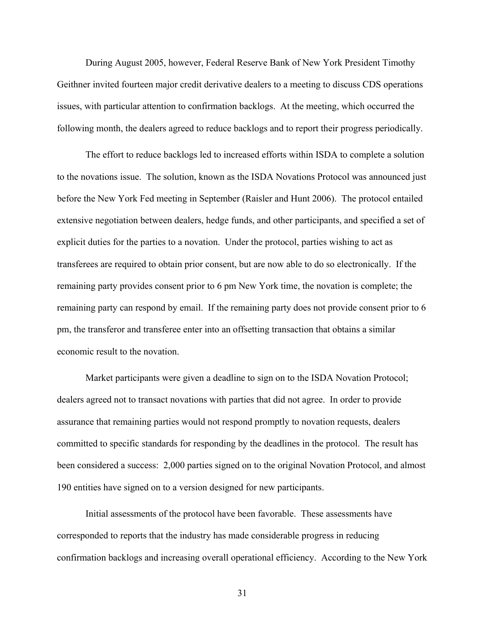During August 2005, however, Federal Reserve Bank of New York President Timothy Geithner invited fourteen major credit derivative dealers to a meeting to discuss CDS operations issues, with particular attention to confirmation backlogs. At the meeting, which occurred the following month, the dealers agreed to reduce backlogs and to report their progress periodically.

 The effort to reduce backlogs led to increased efforts within ISDA to complete a solution to the novations issue. The solution, known as the ISDA Novations Protocol was announced just before the New York Fed meeting in September (Raisler and Hunt 2006). The protocol entailed extensive negotiation between dealers, hedge funds, and other participants, and specified a set of explicit duties for the parties to a novation. Under the protocol, parties wishing to act as transferees are required to obtain prior consent, but are now able to do so electronically. If the remaining party provides consent prior to 6 pm New York time, the novation is complete; the remaining party can respond by email. If the remaining party does not provide consent prior to 6 pm, the transferor and transferee enter into an offsetting transaction that obtains a similar economic result to the novation.

 Market participants were given a deadline to sign on to the ISDA Novation Protocol; dealers agreed not to transact novations with parties that did not agree. In order to provide assurance that remaining parties would not respond promptly to novation requests, dealers committed to specific standards for responding by the deadlines in the protocol. The result has been considered a success: 2,000 parties signed on to the original Novation Protocol, and almost 190 entities have signed on to a version designed for new participants.

Initial assessments of the protocol have been favorable. These assessments have corresponded to reports that the industry has made considerable progress in reducing confirmation backlogs and increasing overall operational efficiency. According to the New York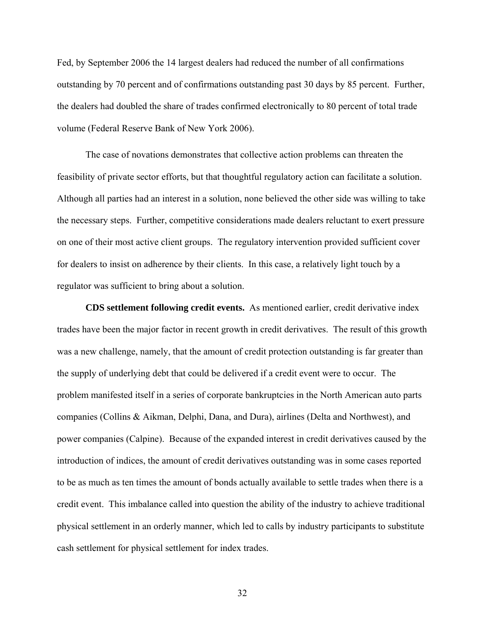Fed, by September 2006 the 14 largest dealers had reduced the number of all confirmations outstanding by 70 percent and of confirmations outstanding past 30 days by 85 percent. Further, the dealers had doubled the share of trades confirmed electronically to 80 percent of total trade volume (Federal Reserve Bank of New York 2006).

 The case of novations demonstrates that collective action problems can threaten the feasibility of private sector efforts, but that thoughtful regulatory action can facilitate a solution. Although all parties had an interest in a solution, none believed the other side was willing to take the necessary steps. Further, competitive considerations made dealers reluctant to exert pressure on one of their most active client groups. The regulatory intervention provided sufficient cover for dealers to insist on adherence by their clients. In this case, a relatively light touch by a regulator was sufficient to bring about a solution.

**CDS settlement following credit events.** As mentioned earlier, credit derivative index trades have been the major factor in recent growth in credit derivatives. The result of this growth was a new challenge, namely, that the amount of credit protection outstanding is far greater than the supply of underlying debt that could be delivered if a credit event were to occur. The problem manifested itself in a series of corporate bankruptcies in the North American auto parts companies (Collins & Aikman, Delphi, Dana, and Dura), airlines (Delta and Northwest), and power companies (Calpine). Because of the expanded interest in credit derivatives caused by the introduction of indices, the amount of credit derivatives outstanding was in some cases reported to be as much as ten times the amount of bonds actually available to settle trades when there is a credit event. This imbalance called into question the ability of the industry to achieve traditional physical settlement in an orderly manner, which led to calls by industry participants to substitute cash settlement for physical settlement for index trades.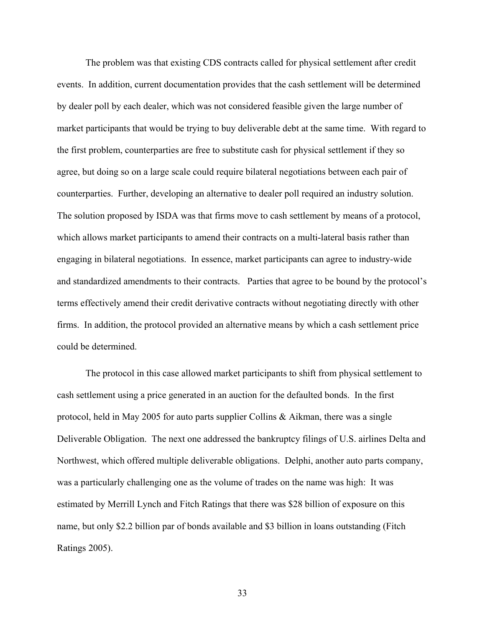The problem was that existing CDS contracts called for physical settlement after credit events. In addition, current documentation provides that the cash settlement will be determined by dealer poll by each dealer, which was not considered feasible given the large number of market participants that would be trying to buy deliverable debt at the same time. With regard to the first problem, counterparties are free to substitute cash for physical settlement if they so agree, but doing so on a large scale could require bilateral negotiations between each pair of counterparties. Further, developing an alternative to dealer poll required an industry solution. The solution proposed by ISDA was that firms move to cash settlement by means of a protocol, which allows market participants to amend their contracts on a multi-lateral basis rather than engaging in bilateral negotiations. In essence, market participants can agree to industry-wide and standardized amendments to their contracts. Parties that agree to be bound by the protocol's terms effectively amend their credit derivative contracts without negotiating directly with other firms. In addition, the protocol provided an alternative means by which a cash settlement price could be determined.

The protocol in this case allowed market participants to shift from physical settlement to cash settlement using a price generated in an auction for the defaulted bonds. In the first protocol, held in May 2005 for auto parts supplier Collins & Aikman, there was a single Deliverable Obligation. The next one addressed the bankruptcy filings of U.S. airlines Delta and Northwest, which offered multiple deliverable obligations. Delphi, another auto parts company, was a particularly challenging one as the volume of trades on the name was high: It was estimated by Merrill Lynch and Fitch Ratings that there was \$28 billion of exposure on this name, but only \$2.2 billion par of bonds available and \$3 billion in loans outstanding (Fitch Ratings 2005).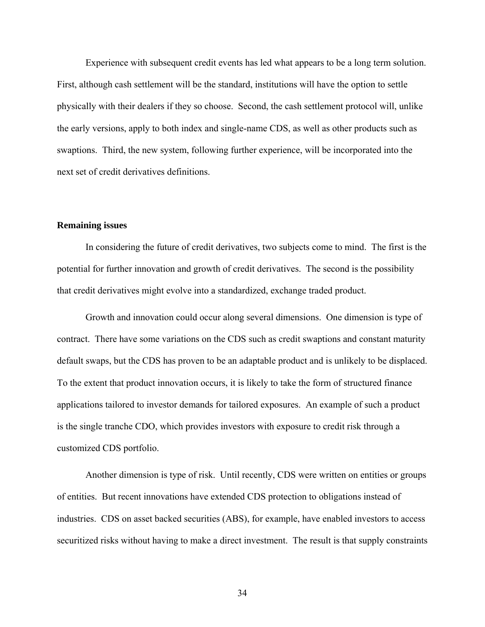Experience with subsequent credit events has led what appears to be a long term solution. First, although cash settlement will be the standard, institutions will have the option to settle physically with their dealers if they so choose. Second, the cash settlement protocol will, unlike the early versions, apply to both index and single-name CDS, as well as other products such as swaptions. Third, the new system, following further experience, will be incorporated into the next set of credit derivatives definitions.

#### **Remaining issues**

In considering the future of credit derivatives, two subjects come to mind. The first is the potential for further innovation and growth of credit derivatives. The second is the possibility that credit derivatives might evolve into a standardized, exchange traded product.

Growth and innovation could occur along several dimensions. One dimension is type of contract. There have some variations on the CDS such as credit swaptions and constant maturity default swaps, but the CDS has proven to be an adaptable product and is unlikely to be displaced. To the extent that product innovation occurs, it is likely to take the form of structured finance applications tailored to investor demands for tailored exposures. An example of such a product is the single tranche CDO, which provides investors with exposure to credit risk through a customized CDS portfolio.

Another dimension is type of risk. Until recently, CDS were written on entities or groups of entities. But recent innovations have extended CDS protection to obligations instead of industries. CDS on asset backed securities (ABS), for example, have enabled investors to access securitized risks without having to make a direct investment. The result is that supply constraints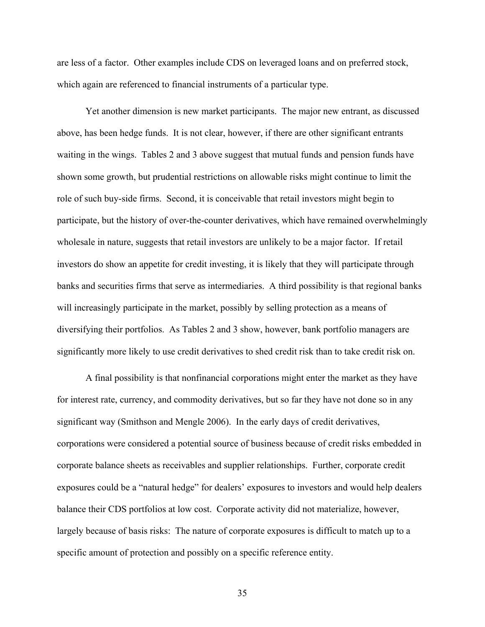are less of a factor. Other examples include CDS on leveraged loans and on preferred stock, which again are referenced to financial instruments of a particular type.

Yet another dimension is new market participants. The major new entrant, as discussed above, has been hedge funds. It is not clear, however, if there are other significant entrants waiting in the wings. Tables 2 and 3 above suggest that mutual funds and pension funds have shown some growth, but prudential restrictions on allowable risks might continue to limit the role of such buy-side firms. Second, it is conceivable that retail investors might begin to participate, but the history of over-the-counter derivatives, which have remained overwhelmingly wholesale in nature, suggests that retail investors are unlikely to be a major factor. If retail investors do show an appetite for credit investing, it is likely that they will participate through banks and securities firms that serve as intermediaries. A third possibility is that regional banks will increasingly participate in the market, possibly by selling protection as a means of diversifying their portfolios. As Tables 2 and 3 show, however, bank portfolio managers are significantly more likely to use credit derivatives to shed credit risk than to take credit risk on.

A final possibility is that nonfinancial corporations might enter the market as they have for interest rate, currency, and commodity derivatives, but so far they have not done so in any significant way (Smithson and Mengle 2006). In the early days of credit derivatives, corporations were considered a potential source of business because of credit risks embedded in corporate balance sheets as receivables and supplier relationships. Further, corporate credit exposures could be a "natural hedge" for dealers' exposures to investors and would help dealers balance their CDS portfolios at low cost. Corporate activity did not materialize, however, largely because of basis risks: The nature of corporate exposures is difficult to match up to a specific amount of protection and possibly on a specific reference entity.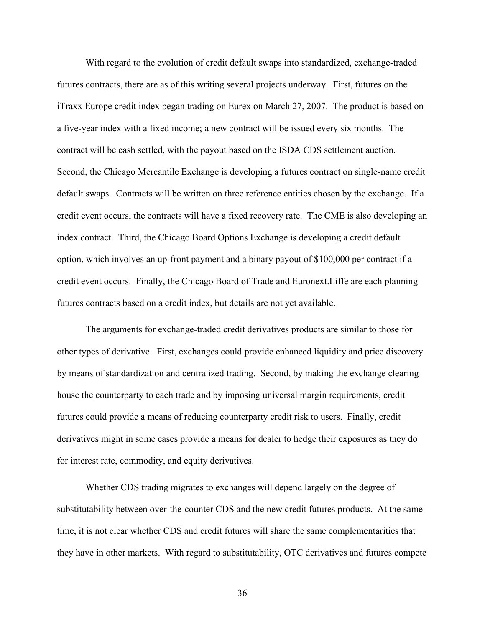With regard to the evolution of credit default swaps into standardized, exchange-traded futures contracts, there are as of this writing several projects underway. First, futures on the iTraxx Europe credit index began trading on Eurex on March 27, 2007. The product is based on a five-year index with a fixed income; a new contract will be issued every six months. The contract will be cash settled, with the payout based on the ISDA CDS settlement auction. Second, the Chicago Mercantile Exchange is developing a futures contract on single-name credit default swaps. Contracts will be written on three reference entities chosen by the exchange. If a credit event occurs, the contracts will have a fixed recovery rate. The CME is also developing an index contract. Third, the Chicago Board Options Exchange is developing a credit default option, which involves an up-front payment and a binary payout of \$100,000 per contract if a credit event occurs. Finally, the Chicago Board of Trade and Euronext.Liffe are each planning futures contracts based on a credit index, but details are not yet available.

The arguments for exchange-traded credit derivatives products are similar to those for other types of derivative. First, exchanges could provide enhanced liquidity and price discovery by means of standardization and centralized trading. Second, by making the exchange clearing house the counterparty to each trade and by imposing universal margin requirements, credit futures could provide a means of reducing counterparty credit risk to users. Finally, credit derivatives might in some cases provide a means for dealer to hedge their exposures as they do for interest rate, commodity, and equity derivatives.

Whether CDS trading migrates to exchanges will depend largely on the degree of substitutability between over-the-counter CDS and the new credit futures products. At the same time, it is not clear whether CDS and credit futures will share the same complementarities that they have in other markets. With regard to substitutability, OTC derivatives and futures compete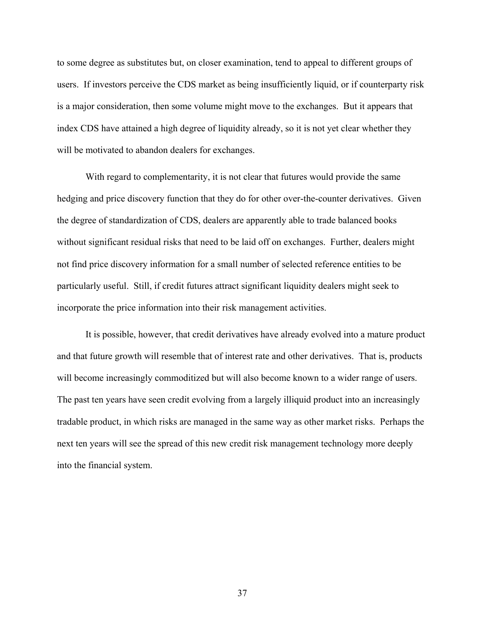to some degree as substitutes but, on closer examination, tend to appeal to different groups of users. If investors perceive the CDS market as being insufficiently liquid, or if counterparty risk is a major consideration, then some volume might move to the exchanges. But it appears that index CDS have attained a high degree of liquidity already, so it is not yet clear whether they will be motivated to abandon dealers for exchanges.

With regard to complementarity, it is not clear that futures would provide the same hedging and price discovery function that they do for other over-the-counter derivatives. Given the degree of standardization of CDS, dealers are apparently able to trade balanced books without significant residual risks that need to be laid off on exchanges. Further, dealers might not find price discovery information for a small number of selected reference entities to be particularly useful. Still, if credit futures attract significant liquidity dealers might seek to incorporate the price information into their risk management activities.

It is possible, however, that credit derivatives have already evolved into a mature product and that future growth will resemble that of interest rate and other derivatives. That is, products will become increasingly commoditized but will also become known to a wider range of users. The past ten years have seen credit evolving from a largely illiquid product into an increasingly tradable product, in which risks are managed in the same way as other market risks. Perhaps the next ten years will see the spread of this new credit risk management technology more deeply into the financial system.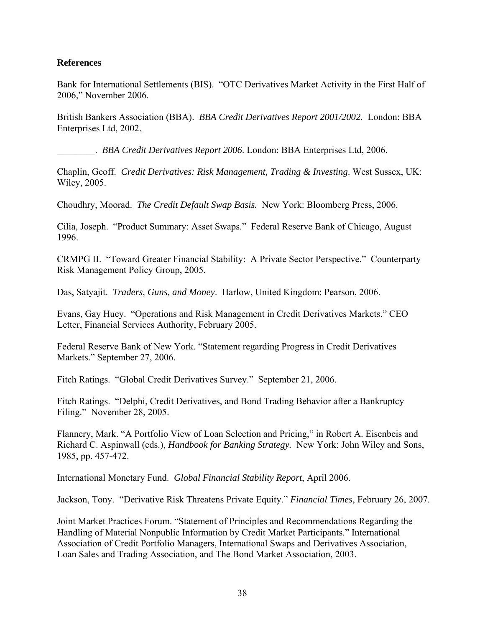## **References**

Bank for International Settlements (BIS). "OTC Derivatives Market Activity in the First Half of 2006," November 2006.

British Bankers Association (BBA). *BBA Credit Derivatives Report 2001/2002.* London: BBA Enterprises Ltd, 2002.

\_\_\_\_\_\_\_\_. *BBA Credit Derivatives Report 2006*. London: BBA Enterprises Ltd, 2006.

Chaplin, Geoff. *Credit Derivatives: Risk Management, Trading & Investing*. West Sussex, UK: Wiley, 2005.

Choudhry, Moorad. *The Credit Default Swap Basis.* New York: Bloomberg Press, 2006.

Cilia, Joseph. "Product Summary: Asset Swaps." Federal Reserve Bank of Chicago, August 1996.

CRMPG II. "Toward Greater Financial Stability: A Private Sector Perspective." Counterparty Risk Management Policy Group, 2005.

Das, Satyajit. *Traders, Guns, and Money*. Harlow, United Kingdom: Pearson, 2006.

Evans, Gay Huey. "Operations and Risk Management in Credit Derivatives Markets." CEO Letter, Financial Services Authority, February 2005.

Federal Reserve Bank of New York. "Statement regarding Progress in Credit Derivatives Markets." September 27, 2006.

Fitch Ratings. "Global Credit Derivatives Survey." September 21, 2006.

Fitch Ratings. "Delphi, Credit Derivatives, and Bond Trading Behavior after a Bankruptcy Filing." November 28, 2005.

Flannery, Mark. "A Portfolio View of Loan Selection and Pricing," in Robert A. Eisenbeis and Richard C. Aspinwall (eds.), *Handbook for Banking Strategy.* New York: John Wiley and Sons, 1985, pp. 457-472.

International Monetary Fund. *Global Financial Stability Report*, April 2006.

Jackson, Tony. "Derivative Risk Threatens Private Equity." *Financial Times*, February 26, 2007.

Joint Market Practices Forum. "Statement of Principles and Recommendations Regarding the Handling of Material Nonpublic Information by Credit Market Participants." International Association of Credit Portfolio Managers, International Swaps and Derivatives Association, Loan Sales and Trading Association, and The Bond Market Association, 2003.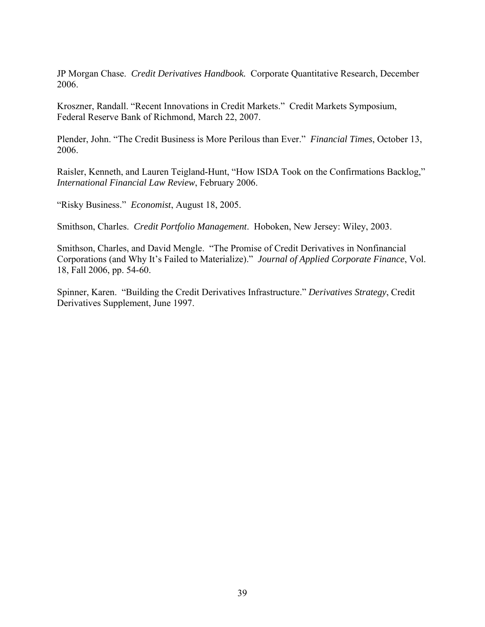JP Morgan Chase. *Credit Derivatives Handbook.* Corporate Quantitative Research, December 2006.

Kroszner, Randall. "Recent Innovations in Credit Markets." Credit Markets Symposium, Federal Reserve Bank of Richmond, March 22, 2007.

Plender, John. "The Credit Business is More Perilous than Ever." *Financial Times*, October 13, 2006.

Raisler, Kenneth, and Lauren Teigland-Hunt, "How ISDA Took on the Confirmations Backlog," *International Financial Law Review*, February 2006.

"Risky Business." *Economist*, August 18, 2005.

Smithson, Charles. *Credit Portfolio Management*. Hoboken, New Jersey: Wiley, 2003.

Smithson, Charles, and David Mengle. "The Promise of Credit Derivatives in Nonfinancial Corporations (and Why It's Failed to Materialize)." *Journal of Applied Corporate Finance*, Vol. 18, Fall 2006, pp. 54-60.

Spinner, Karen. "Building the Credit Derivatives Infrastructure." *Derivatives Strategy*, Credit Derivatives Supplement, June 1997.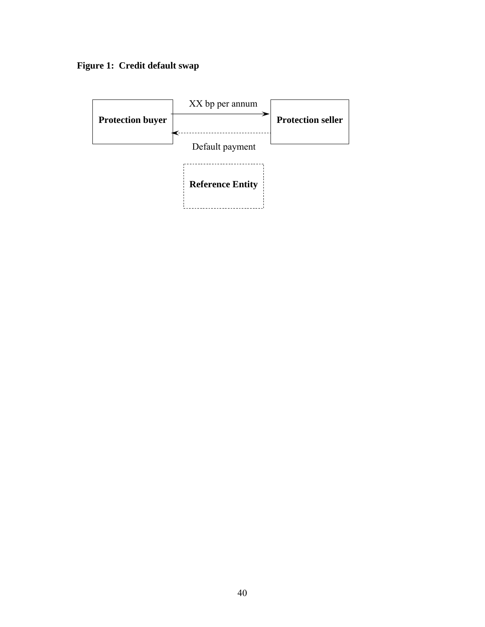## **Figure 1: Credit default swap**

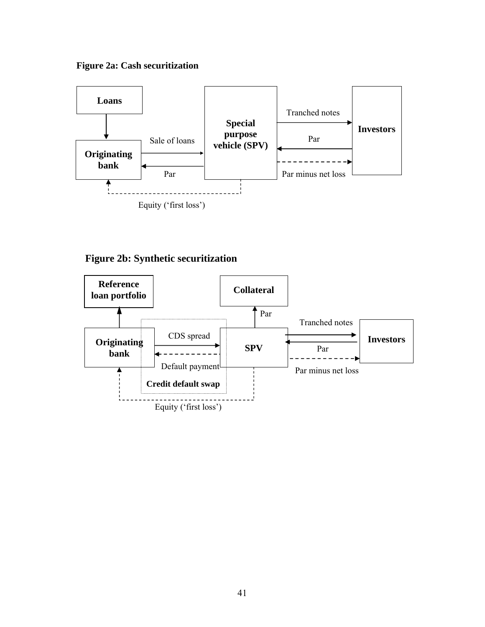**Figure 2a: Cash securitization** 



## **Figure 2b: Synthetic securitization**

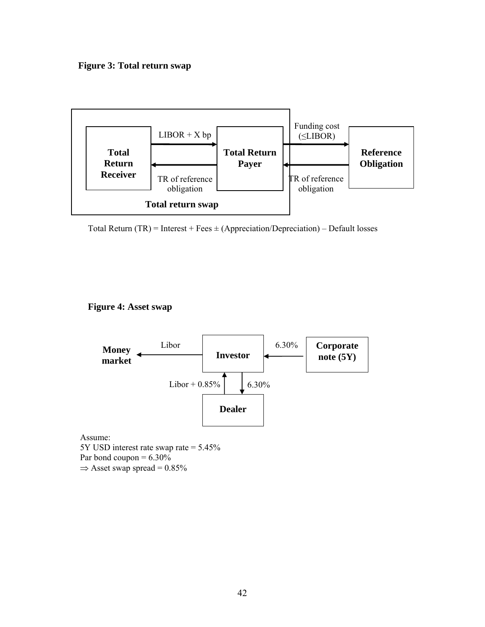### **Figure 3: Total return swap**



Total Return  $(TR)$  = Interest + Fees  $\pm$  (Appreciation/Depreciation) – Default losses

## **Figure 4: Asset swap**



Assume: 5Y USD interest rate swap rate = 5.45% Par bond coupon  $= 6.30\%$  $\Rightarrow$  Asset swap spread = 0.85%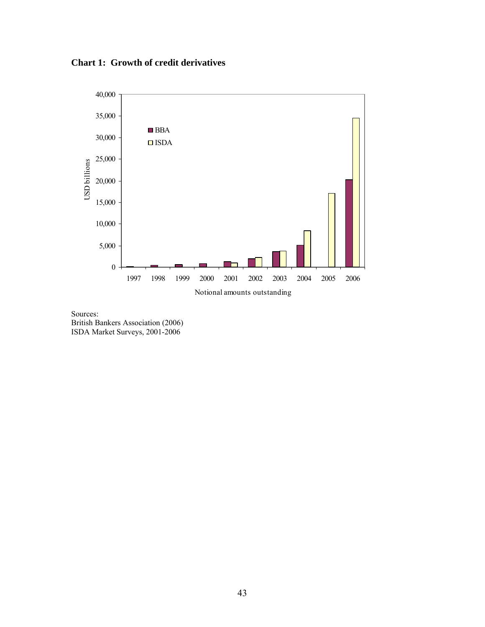**Chart 1: Growth of credit derivatives** 



Sources: British Bankers Association (2006) ISDA Market Surveys, 2001-2006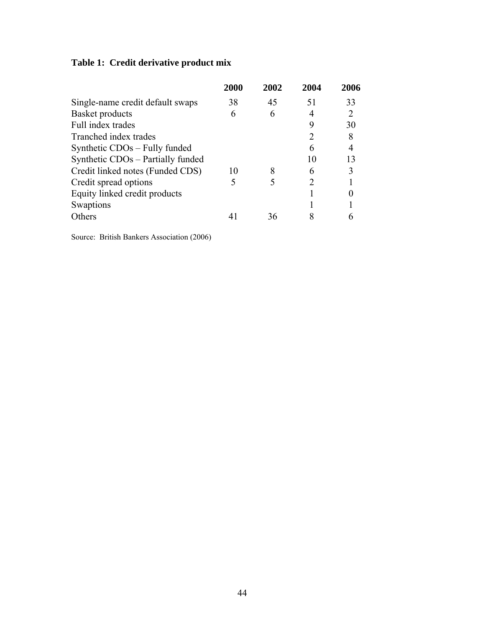# **Table 1: Credit derivative product mix**

|                                   | 2000 | 2002 | 2004 | 2006 |
|-----------------------------------|------|------|------|------|
| Single-name credit default swaps  | 38   | 45   | 51   | 33   |
| <b>Basket products</b>            | 6    | 6    |      | 2    |
| Full index trades                 |      |      |      | 30   |
| Tranched index trades             |      |      |      | 8    |
| Synthetic CDOs - Fully funded     |      |      | h    |      |
| Synthetic CDOs - Partially funded |      |      | 10   | 13   |
| Credit linked notes (Funded CDS)  | 10   | 8    | 6    |      |
| Credit spread options             |      |      |      |      |
| Equity linked credit products     |      |      |      |      |
| Swaptions                         |      |      |      |      |
| Others                            |      | 36   |      |      |

Source: British Bankers Association (2006)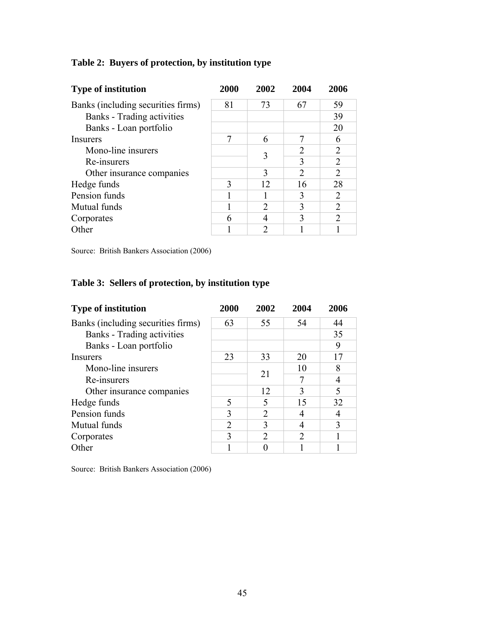| <b>Type of institution</b>         | 2000 | 2002                        | 2004 | 2006 |
|------------------------------------|------|-----------------------------|------|------|
| Banks (including securities firms) | 81   | 73                          | 67   | 59   |
| Banks - Trading activities         |      |                             |      | 39   |
| Banks - Loan portfolio             |      |                             |      | 20   |
| Insurers                           | 7    | 6                           | 7    | 6    |
| Mono-line insurers                 |      | 3                           | 2    | 2    |
| Re-insurers                        |      |                             | 3    | 2    |
| Other insurance companies          |      | 3                           | 2    | 2    |
| Hedge funds                        | 3    | 12                          | 16   | 28   |
| Pension funds                      |      |                             | 3    | 2    |
| Mutual funds                       |      | $\mathcal{D}_{\mathcal{A}}$ | 3    | 2    |
| Corporates                         | 6    |                             | 3    | 2    |
| Other                              |      |                             |      |      |

# **Table 2: Buyers of protection, by institution type**

Source: British Bankers Association (2006)

## **Table 3: Sellers of protection, by institution type**

| <b>Type of institution</b>         | 2000          | 2002           | 2004 | 2006 |
|------------------------------------|---------------|----------------|------|------|
| Banks (including securities firms) | 63            | 55             | 54   | 44   |
| Banks - Trading activities         |               |                |      | 35   |
| Banks - Loan portfolio             |               |                |      | 9    |
| Insurers                           | 23            | 33             | 20   | 17   |
| Mono-line insurers                 |               | 21             | 10   | 8    |
| Re-insurers                        |               |                |      | 4    |
| Other insurance companies          |               | 12             | 3    | 5    |
| Hedge funds                        | 5             | $\varsigma$    | 15   | 32   |
| Pension funds                      | 3             | $\overline{2}$ | 4    | 4    |
| Mutual funds                       | $\mathcal{D}$ | 3              | 4    | 3    |
| Corporates                         | 3             | 2              | 2    |      |
| Other                              |               |                |      |      |

Source: British Bankers Association (2006)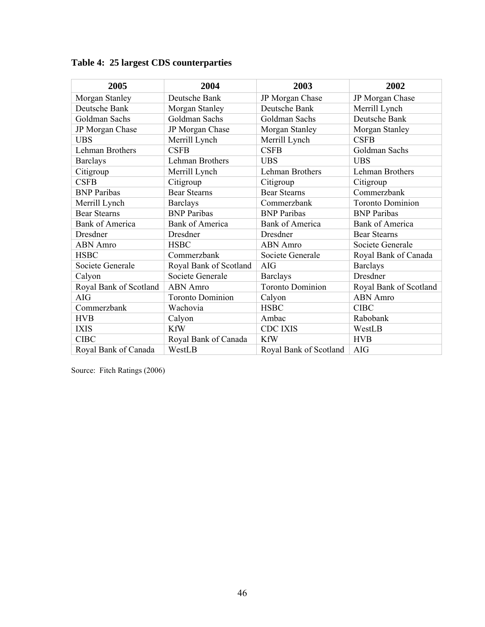| 2005                   | 2004                    | 2003                    | 2002                    |
|------------------------|-------------------------|-------------------------|-------------------------|
| Morgan Stanley         | Deutsche Bank           | JP Morgan Chase         | JP Morgan Chase         |
| Deutsche Bank          | Morgan Stanley          | Deutsche Bank           | Merrill Lynch           |
| Goldman Sachs          | Goldman Sachs           | Goldman Sachs           | Deutsche Bank           |
| JP Morgan Chase        | JP Morgan Chase         | Morgan Stanley          | Morgan Stanley          |
| <b>UBS</b>             | Merrill Lynch           | Merrill Lynch           | <b>CSFB</b>             |
| Lehman Brothers        | <b>CSFB</b>             | <b>CSFB</b>             | Goldman Sachs           |
| <b>Barclays</b>        | Lehman Brothers         | <b>UBS</b>              | <b>UBS</b>              |
| Citigroup              | Merrill Lynch           | Lehman Brothers         | Lehman Brothers         |
| <b>CSFB</b>            | Citigroup               | Citigroup               | Citigroup               |
| <b>BNP</b> Paribas     | <b>Bear Stearns</b>     | <b>Bear Stearns</b>     | Commerzbank             |
| Merrill Lynch          | <b>Barclays</b>         | Commerzbank             | <b>Toronto Dominion</b> |
| <b>Bear Stearns</b>    | <b>BNP</b> Paribas      | <b>BNP</b> Paribas      | <b>BNP</b> Paribas      |
| <b>Bank of America</b> | <b>Bank of America</b>  | <b>Bank of America</b>  | <b>Bank of America</b>  |
| Dresdner               | Dresdner                | Dresdner                | <b>Bear Stearns</b>     |
| ABN Amro               | <b>HSBC</b>             | <b>ABN</b> Amro         | Societe Generale        |
| <b>HSBC</b>            | Commerzbank             | Societe Generale        | Royal Bank of Canada    |
| Societe Generale       | Royal Bank of Scotland  | AIG                     | <b>Barclays</b>         |
| Calyon                 | Societe Generale        | <b>Barclays</b>         | <b>Dresdner</b>         |
| Royal Bank of Scotland | <b>ABN</b> Amro         | <b>Toronto Dominion</b> | Royal Bank of Scotland  |
| AIG                    | <b>Toronto Dominion</b> | Calyon                  | <b>ABN</b> Amro         |
| Commerzbank            | Wachovia                | <b>HSBC</b>             | <b>CIBC</b>             |
| <b>HVB</b>             | Calyon                  | Ambac                   | Rabobank                |
| <b>IXIS</b>            | <b>KfW</b>              | <b>CDC IXIS</b>         | WestLB                  |
| <b>CIBC</b>            | Royal Bank of Canada    | <b>KfW</b>              | <b>HVB</b>              |
| Royal Bank of Canada   | WestLB                  | Royal Bank of Scotland  | AIG                     |

**Table 4: 25 largest CDS counterparties** 

Source: Fitch Ratings (2006)